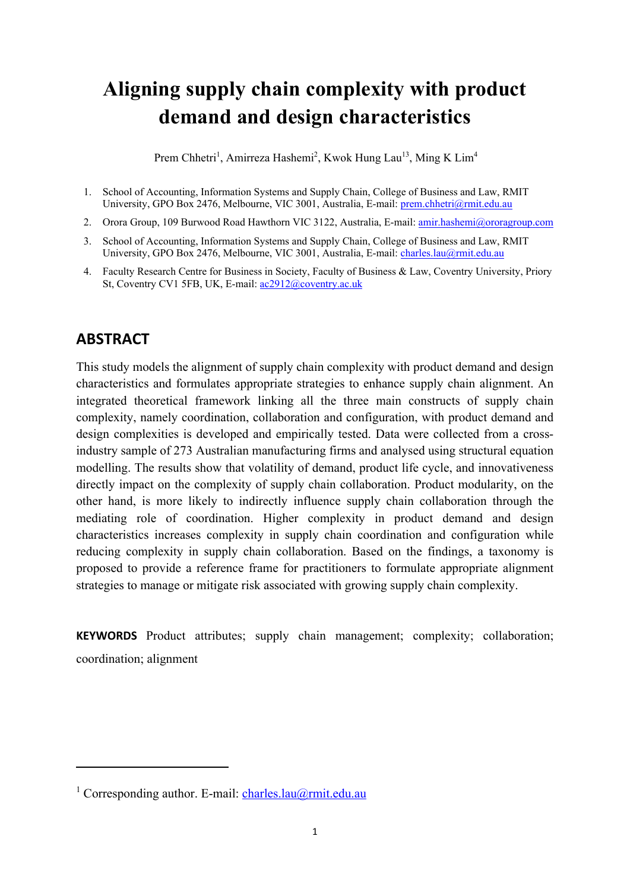# **Aligning supply chain complexity with product demand and design characteristics**

Prem Chhetri<sup>1</sup>, Amirreza Hashemi<sup>2</sup>, Kwok Hung Lau<sup>13</sup>, Ming K Lim<sup>4</sup>

- 1. School of Accounting, Information Systems and Supply Chain, College of Business and Law, RMIT University, GPO Box 2476, Melbourne, VIC 3001, Australia, E-mail: prem.chhetri@rmit.edu.au
- 2. Orora Group, 109 Burwood Road Hawthorn VIC 3122, Australia, E-mail: amir.hashemi@ororagroup.com
- 3. School of Accounting, Information Systems and Supply Chain, College of Business and Law, RMIT University, GPO Box 2476, Melbourne, VIC 3001, Australia, E-mail: charles.lau@rmit.edu.au
- 4. Faculty Research Centre for Business in Society, Faculty of Business & Law, Coventry University, Priory St, Coventry CV1 5FB, UK, E-mail: ac2912@coventry.ac.uk

# **ABSTRACT**

This study models the alignment of supply chain complexity with product demand and design characteristics and formulates appropriate strategies to enhance supply chain alignment. An integrated theoretical framework linking all the three main constructs of supply chain complexity, namely coordination, collaboration and configuration, with product demand and design complexities is developed and empirically tested. Data were collected from a crossindustry sample of 273 Australian manufacturing firms and analysed using structural equation modelling. The results show that volatility of demand, product life cycle, and innovativeness directly impact on the complexity of supply chain collaboration. Product modularity, on the other hand, is more likely to indirectly influence supply chain collaboration through the mediating role of coordination. Higher complexity in product demand and design characteristics increases complexity in supply chain coordination and configuration while reducing complexity in supply chain collaboration. Based on the findings, a taxonomy is proposed to provide a reference frame for practitioners to formulate appropriate alignment strategies to manage or mitigate risk associated with growing supply chain complexity.

**KEYWORDS** Product attributes; supply chain management; complexity; collaboration; coordination; alignment

<sup>&</sup>lt;sup>1</sup> Corresponding author. E-mail: charles.lau@rmit.edu.au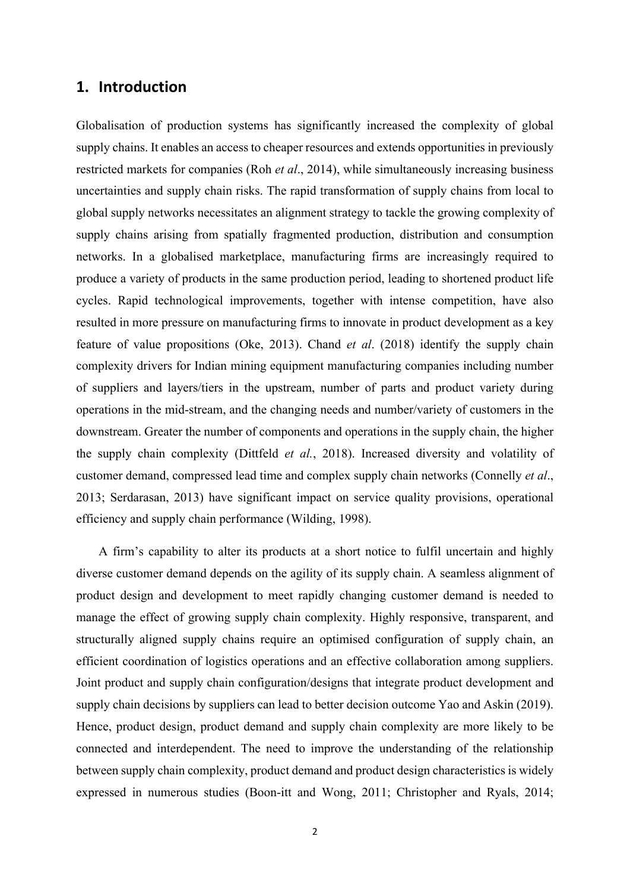# **1. Introduction**

Globalisation of production systems has significantly increased the complexity of global supply chains. It enables an access to cheaper resources and extends opportunities in previously restricted markets for companies (Roh *et al*., 2014), while simultaneously increasing business uncertainties and supply chain risks. The rapid transformation of supply chains from local to global supply networks necessitates an alignment strategy to tackle the growing complexity of supply chains arising from spatially fragmented production, distribution and consumption networks. In a globalised marketplace, manufacturing firms are increasingly required to produce a variety of products in the same production period, leading to shortened product life cycles. Rapid technological improvements, together with intense competition, have also resulted in more pressure on manufacturing firms to innovate in product development as a key feature of value propositions (Oke, 2013). Chand *et al*. (2018) identify the supply chain complexity drivers for Indian mining equipment manufacturing companies including number of suppliers and layers/tiers in the upstream, number of parts and product variety during operations in the mid-stream, and the changing needs and number/variety of customers in the downstream. Greater the number of components and operations in the supply chain, the higher the supply chain complexity (Dittfeld *et al.*, 2018). Increased diversity and volatility of customer demand, compressed lead time and complex supply chain networks (Connelly *et al*., 2013; Serdarasan, 2013) have significant impact on service quality provisions, operational efficiency and supply chain performance (Wilding, 1998).

A firm's capability to alter its products at a short notice to fulfil uncertain and highly diverse customer demand depends on the agility of its supply chain. A seamless alignment of product design and development to meet rapidly changing customer demand is needed to manage the effect of growing supply chain complexity. Highly responsive, transparent, and structurally aligned supply chains require an optimised configuration of supply chain, an efficient coordination of logistics operations and an effective collaboration among suppliers. Joint product and supply chain configuration/designs that integrate product development and supply chain decisions by suppliers can lead to better decision outcome Yao and Askin (2019). Hence, product design, product demand and supply chain complexity are more likely to be connected and interdependent. The need to improve the understanding of the relationship between supply chain complexity, product demand and product design characteristics is widely expressed in numerous studies (Boon-itt and Wong, 2011; Christopher and Ryals, 2014;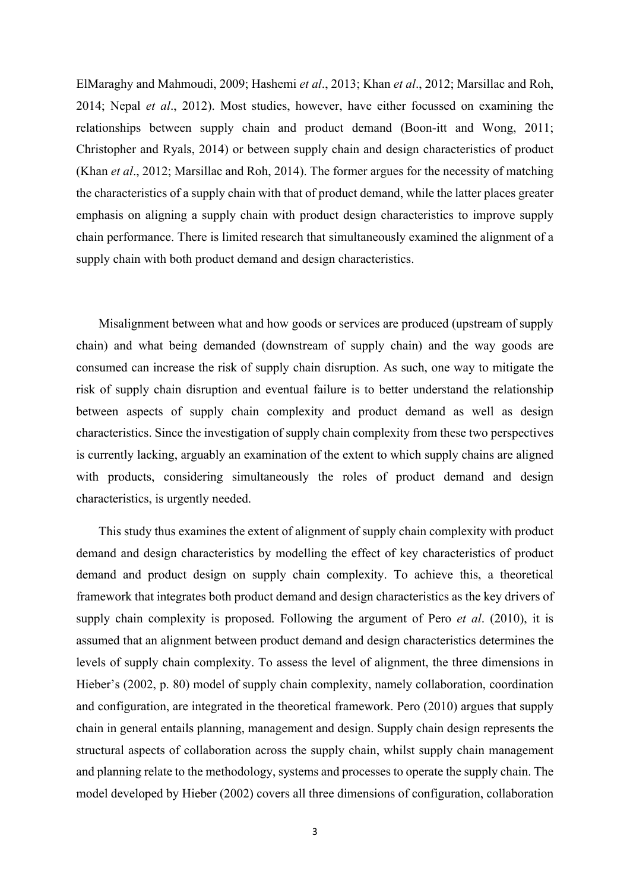ElMaraghy and Mahmoudi, 2009; Hashemi *et al*., 2013; Khan *et al*., 2012; Marsillac and Roh, 2014; Nepal *et al*., 2012). Most studies, however, have either focussed on examining the relationships between supply chain and product demand (Boon-itt and Wong, 2011; Christopher and Ryals, 2014) or between supply chain and design characteristics of product (Khan *et al*., 2012; Marsillac and Roh, 2014). The former argues for the necessity of matching the characteristics of a supply chain with that of product demand, while the latter places greater emphasis on aligning a supply chain with product design characteristics to improve supply chain performance. There is limited research that simultaneously examined the alignment of a supply chain with both product demand and design characteristics.

Misalignment between what and how goods or services are produced (upstream of supply chain) and what being demanded (downstream of supply chain) and the way goods are consumed can increase the risk of supply chain disruption. As such, one way to mitigate the risk of supply chain disruption and eventual failure is to better understand the relationship between aspects of supply chain complexity and product demand as well as design characteristics. Since the investigation of supply chain complexity from these two perspectives is currently lacking, arguably an examination of the extent to which supply chains are aligned with products, considering simultaneously the roles of product demand and design characteristics, is urgently needed.

This study thus examines the extent of alignment of supply chain complexity with product demand and design characteristics by modelling the effect of key characteristics of product demand and product design on supply chain complexity. To achieve this, a theoretical framework that integrates both product demand and design characteristics as the key drivers of supply chain complexity is proposed. Following the argument of Pero *et al*. (2010), it is assumed that an alignment between product demand and design characteristics determines the levels of supply chain complexity. To assess the level of alignment, the three dimensions in Hieber's (2002, p. 80) model of supply chain complexity, namely collaboration, coordination and configuration, are integrated in the theoretical framework. Pero (2010) argues that supply chain in general entails planning, management and design. Supply chain design represents the structural aspects of collaboration across the supply chain, whilst supply chain management and planning relate to the methodology, systems and processes to operate the supply chain. The model developed by Hieber (2002) covers all three dimensions of configuration, collaboration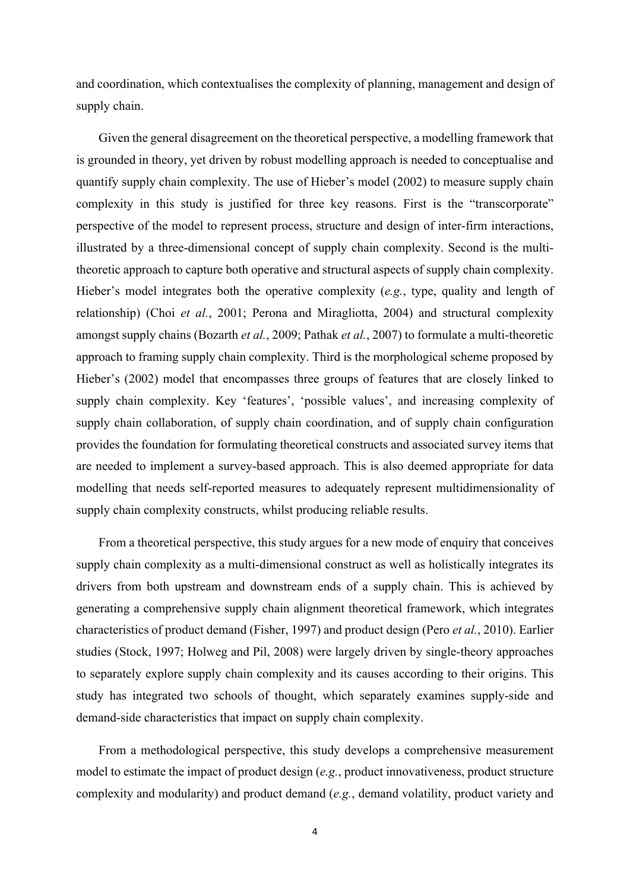and coordination, which contextualises the complexity of planning, management and design of supply chain.

Given the general disagreement on the theoretical perspective, a modelling framework that is grounded in theory, yet driven by robust modelling approach is needed to conceptualise and quantify supply chain complexity. The use of Hieber's model (2002) to measure supply chain complexity in this study is justified for three key reasons. First is the "transcorporate" perspective of the model to represent process, structure and design of inter-firm interactions, illustrated by a three-dimensional concept of supply chain complexity. Second is the multitheoretic approach to capture both operative and structural aspects of supply chain complexity. Hieber's model integrates both the operative complexity (*e.g.*, type, quality and length of relationship) (Choi *et al.*, 2001; Perona and Miragliotta, 2004) and structural complexity amongst supply chains (Bozarth *et al.*, 2009; Pathak *et al.*, 2007) to formulate a multi-theoretic approach to framing supply chain complexity. Third is the morphological scheme proposed by Hieber's (2002) model that encompasses three groups of features that are closely linked to supply chain complexity. Key 'features', 'possible values', and increasing complexity of supply chain collaboration, of supply chain coordination, and of supply chain configuration provides the foundation for formulating theoretical constructs and associated survey items that are needed to implement a survey-based approach. This is also deemed appropriate for data modelling that needs self-reported measures to adequately represent multidimensionality of supply chain complexity constructs, whilst producing reliable results.

From a theoretical perspective, this study argues for a new mode of enquiry that conceives supply chain complexity as a multi-dimensional construct as well as holistically integrates its drivers from both upstream and downstream ends of a supply chain. This is achieved by generating a comprehensive supply chain alignment theoretical framework, which integrates characteristics of product demand (Fisher, 1997) and product design (Pero *et al.*, 2010). Earlier studies (Stock, 1997; Holweg and Pil, 2008) were largely driven by single-theory approaches to separately explore supply chain complexity and its causes according to their origins. This study has integrated two schools of thought, which separately examines supply-side and demand-side characteristics that impact on supply chain complexity.

From a methodological perspective, this study develops a comprehensive measurement model to estimate the impact of product design (*e.g.*, product innovativeness, product structure complexity and modularity) and product demand (*e.g.*, demand volatility, product variety and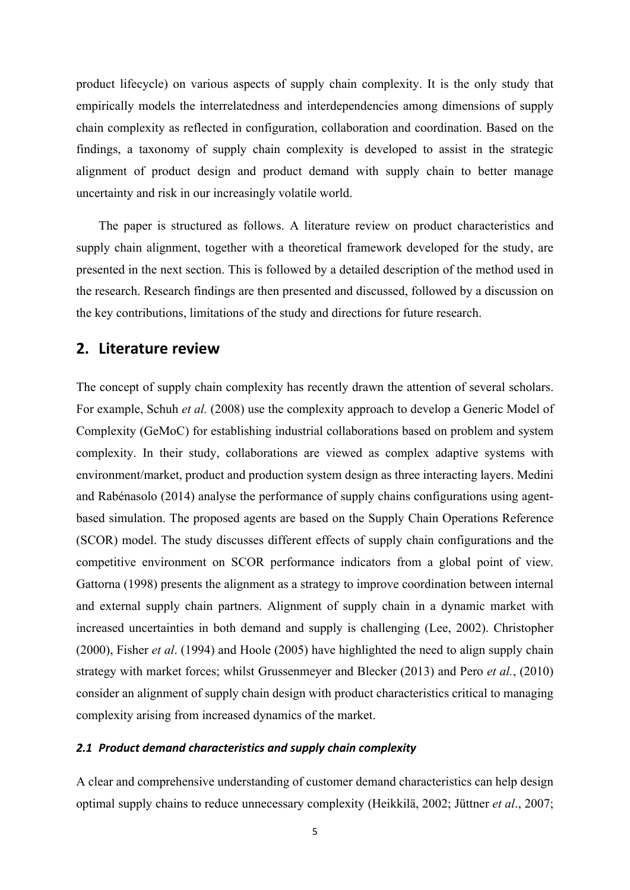product lifecycle) on various aspects of supply chain complexity. It is the only study that empirically models the interrelatedness and interdependencies among dimensions of supply chain complexity as reflected in configuration, collaboration and coordination. Based on the findings, a taxonomy of supply chain complexity is developed to assist in the strategic alignment of product design and product demand with supply chain to better manage uncertainty and risk in our increasingly volatile world.

The paper is structured as follows. A literature review on product characteristics and supply chain alignment, together with a theoretical framework developed for the study, are presented in the next section. This is followed by a detailed description of the method used in the research. Research findings are then presented and discussed, followed by a discussion on the key contributions, limitations of the study and directions for future research.

# **2. Literature review**

The concept of supply chain complexity has recently drawn the attention of several scholars. For example, Schuh *et al.* (2008) use the complexity approach to develop a Generic Model of Complexity (GeMoC) for establishing industrial collaborations based on problem and system complexity. In their study, collaborations are viewed as complex adaptive systems with environment/market, product and production system design as three interacting layers. Medini and Rabénasolo (2014) analyse the performance of supply chains configurations using agentbased simulation. The proposed agents are based on the Supply Chain Operations Reference (SCOR) model. The study discusses different effects of supply chain configurations and the competitive environment on SCOR performance indicators from a global point of view. Gattorna (1998) presents the alignment as a strategy to improve coordination between internal and external supply chain partners. Alignment of supply chain in a dynamic market with increased uncertainties in both demand and supply is challenging (Lee, 2002). Christopher (2000), Fisher *et al*. (1994) and Hoole (2005) have highlighted the need to align supply chain strategy with market forces; whilst Grussenmeyer and Blecker (2013) and Pero *et al.*, (2010) consider an alignment of supply chain design with product characteristics critical to managing complexity arising from increased dynamics of the market.

#### *2.1 Product demand characteristics and supply chain complexity*

A clear and comprehensive understanding of customer demand characteristics can help design optimal supply chains to reduce unnecessary complexity (Heikkilä, 2002; Jüttner *et al*., 2007;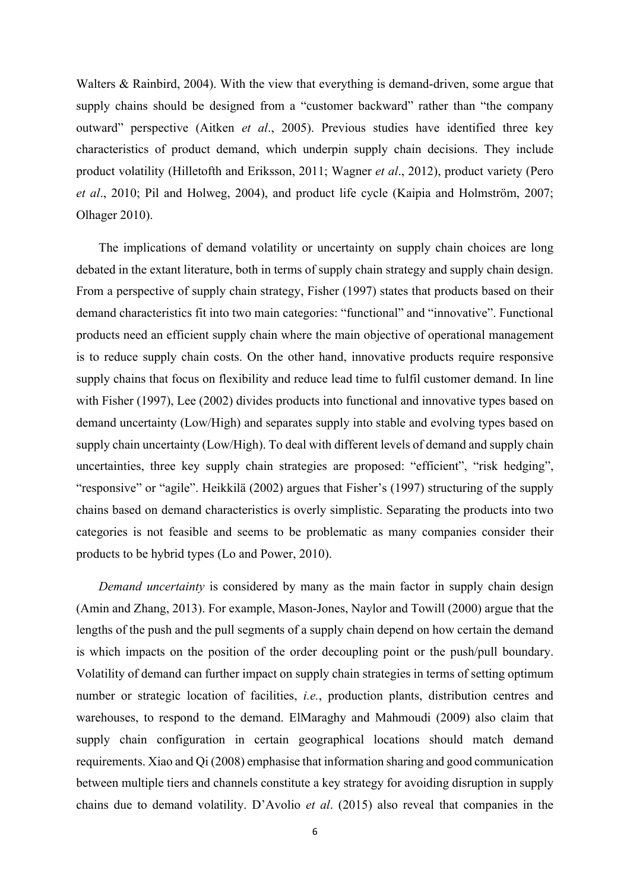Walters & Rainbird, 2004). With the view that everything is demand-driven, some argue that supply chains should be designed from a "customer backward" rather than "the company outward" perspective (Aitken *et al*., 2005). Previous studies have identified three key characteristics of product demand, which underpin supply chain decisions. They include product volatility (Hilletofth and Eriksson, 2011; Wagner *et al*., 2012), product variety (Pero *et al*., 2010; Pil and Holweg, 2004), and product life cycle (Kaipia and Holmström, 2007; Olhager 2010).

The implications of demand volatility or uncertainty on supply chain choices are long debated in the extant literature, both in terms of supply chain strategy and supply chain design. From a perspective of supply chain strategy, Fisher (1997) states that products based on their demand characteristics fit into two main categories: "functional" and "innovative". Functional products need an efficient supply chain where the main objective of operational management is to reduce supply chain costs. On the other hand, innovative products require responsive supply chains that focus on flexibility and reduce lead time to fulfil customer demand. In line with Fisher (1997), Lee (2002) divides products into functional and innovative types based on demand uncertainty (Low/High) and separates supply into stable and evolving types based on supply chain uncertainty (Low/High). To deal with different levels of demand and supply chain uncertainties, three key supply chain strategies are proposed: "efficient", "risk hedging", "responsive" or "agile". Heikkilä (2002) argues that Fisher's (1997) structuring of the supply chains based on demand characteristics is overly simplistic. Separating the products into two categories is not feasible and seems to be problematic as many companies consider their products to be hybrid types (Lo and Power, 2010).

*Demand uncertainty* is considered by many as the main factor in supply chain design (Amin and Zhang, 2013). For example, Mason-Jones, Naylor and Towill (2000) argue that the lengths of the push and the pull segments of a supply chain depend on how certain the demand is which impacts on the position of the order decoupling point or the push/pull boundary. Volatility of demand can further impact on supply chain strategies in terms of setting optimum number or strategic location of facilities, *i.e.*, production plants, distribution centres and warehouses, to respond to the demand. ElMaraghy and Mahmoudi (2009) also claim that supply chain configuration in certain geographical locations should match demand requirements. Xiao and Qi (2008) emphasise that information sharing and good communication between multiple tiers and channels constitute a key strategy for avoiding disruption in supply chains due to demand volatility. D'Avolio *et al*. (2015) also reveal that companies in the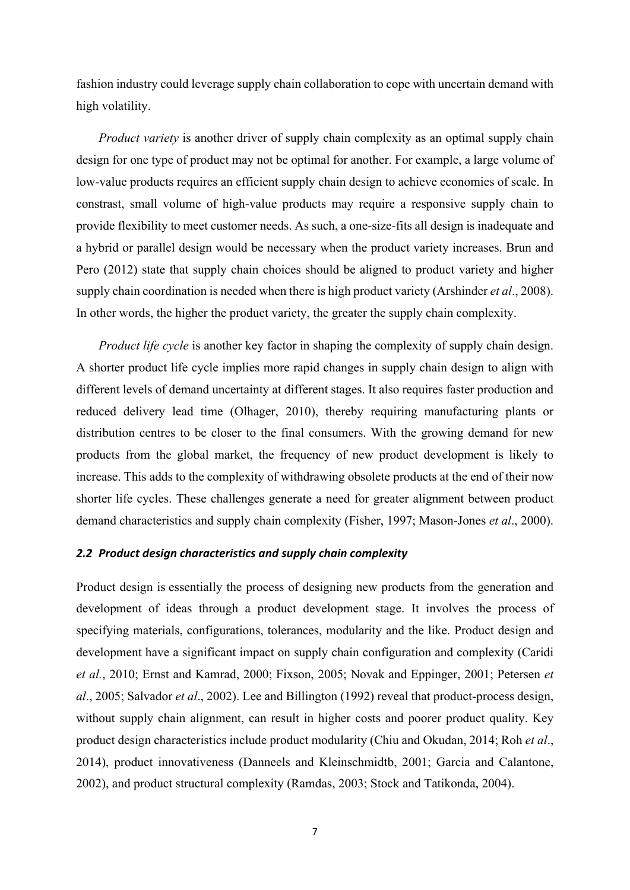fashion industry could leverage supply chain collaboration to cope with uncertain demand with high volatility.

*Product variety* is another driver of supply chain complexity as an optimal supply chain design for one type of product may not be optimal for another. For example, a large volume of low-value products requires an efficient supply chain design to achieve economies of scale. In constrast, small volume of high-value products may require a responsive supply chain to provide flexibility to meet customer needs. As such, a one-size-fits all design is inadequate and a hybrid or parallel design would be necessary when the product variety increases. Brun and Pero (2012) state that supply chain choices should be aligned to product variety and higher supply chain coordination is needed when there is high product variety (Arshinder *et al*., 2008). In other words, the higher the product variety, the greater the supply chain complexity.

*Product life cycle* is another key factor in shaping the complexity of supply chain design. A shorter product life cycle implies more rapid changes in supply chain design to align with different levels of demand uncertainty at different stages. It also requires faster production and reduced delivery lead time (Olhager, 2010), thereby requiring manufacturing plants or distribution centres to be closer to the final consumers. With the growing demand for new products from the global market, the frequency of new product development is likely to increase. This adds to the complexity of withdrawing obsolete products at the end of their now shorter life cycles. These challenges generate a need for greater alignment between product demand characteristics and supply chain complexity (Fisher, 1997; Mason-Jones *et al*., 2000).

### *2.2 Product design characteristics and supply chain complexity*

Product design is essentially the process of designing new products from the generation and development of ideas through a product development stage. It involves the process of specifying materials, configurations, tolerances, modularity and the like. Product design and development have a significant impact on supply chain configuration and complexity (Caridi *et al.*, 2010; Ernst and Kamrad, 2000; Fixson, 2005; Novak and Eppinger, 2001; Petersen *et al*., 2005; Salvador *et al*., 2002). Lee and Billington (1992) reveal that product-process design, without supply chain alignment, can result in higher costs and poorer product quality. Key product design characteristics include product modularity (Chiu and Okudan, 2014; Roh *et al*., 2014), product innovativeness (Danneels and Kleinschmidtb, 2001; Garcia and Calantone, 2002), and product structural complexity (Ramdas, 2003; Stock and Tatikonda, 2004).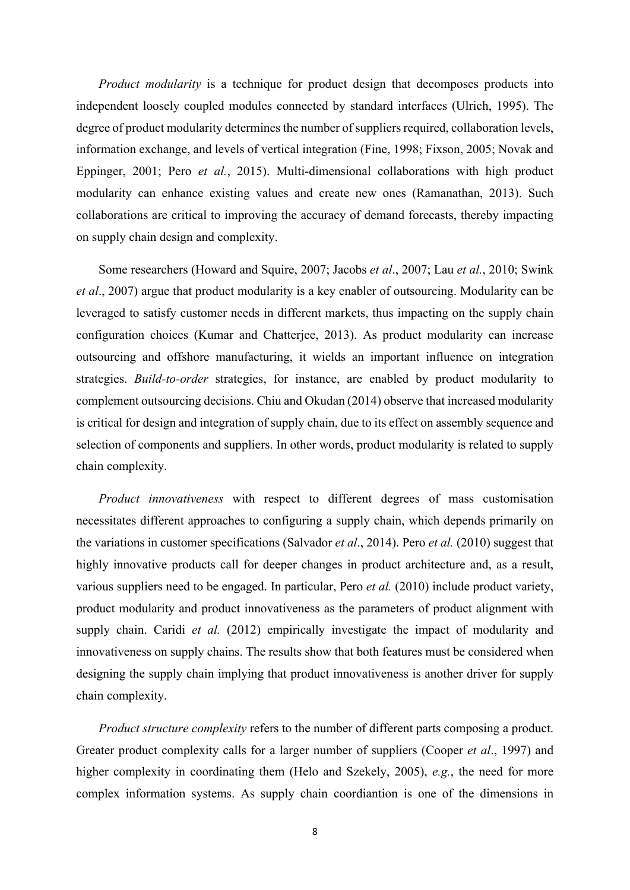*Product modularity* is a technique for product design that decomposes products into independent loosely coupled modules connected by standard interfaces (Ulrich, 1995). The degree of product modularity determines the number of suppliers required, collaboration levels, information exchange, and levels of vertical integration (Fine, 1998; Fixson, 2005; Novak and Eppinger, 2001; Pero *et al.*, 2015). Multi-dimensional collaborations with high product modularity can enhance existing values and create new ones (Ramanathan, 2013). Such collaborations are critical to improving the accuracy of demand forecasts, thereby impacting on supply chain design and complexity.

Some researchers (Howard and Squire, 2007; Jacobs *et al*., 2007; Lau *et al.*, 2010; Swink *et al*., 2007) argue that product modularity is a key enabler of outsourcing. Modularity can be leveraged to satisfy customer needs in different markets, thus impacting on the supply chain configuration choices (Kumar and Chatterjee, 2013). As product modularity can increase outsourcing and offshore manufacturing, it wields an important influence on integration strategies. *Build-to-order* strategies, for instance, are enabled by product modularity to complement outsourcing decisions. Chiu and Okudan (2014) observe that increased modularity is critical for design and integration of supply chain, due to its effect on assembly sequence and selection of components and suppliers. In other words, product modularity is related to supply chain complexity.

*Product innovativeness* with respect to different degrees of mass customisation necessitates different approaches to configuring a supply chain, which depends primarily on the variations in customer specifications (Salvador *et al*., 2014). Pero *et al.* (2010) suggest that highly innovative products call for deeper changes in product architecture and, as a result, various suppliers need to be engaged. In particular, Pero *et al.* (2010) include product variety, product modularity and product innovativeness as the parameters of product alignment with supply chain. Caridi *et al.* (2012) empirically investigate the impact of modularity and innovativeness on supply chains. The results show that both features must be considered when designing the supply chain implying that product innovativeness is another driver for supply chain complexity.

*Product structure complexity* refers to the number of different parts composing a product. Greater product complexity calls for a larger number of suppliers (Cooper *et al*., 1997) and higher complexity in coordinating them (Helo and Szekely, 2005), *e.g.*, the need for more complex information systems. As supply chain coordiantion is one of the dimensions in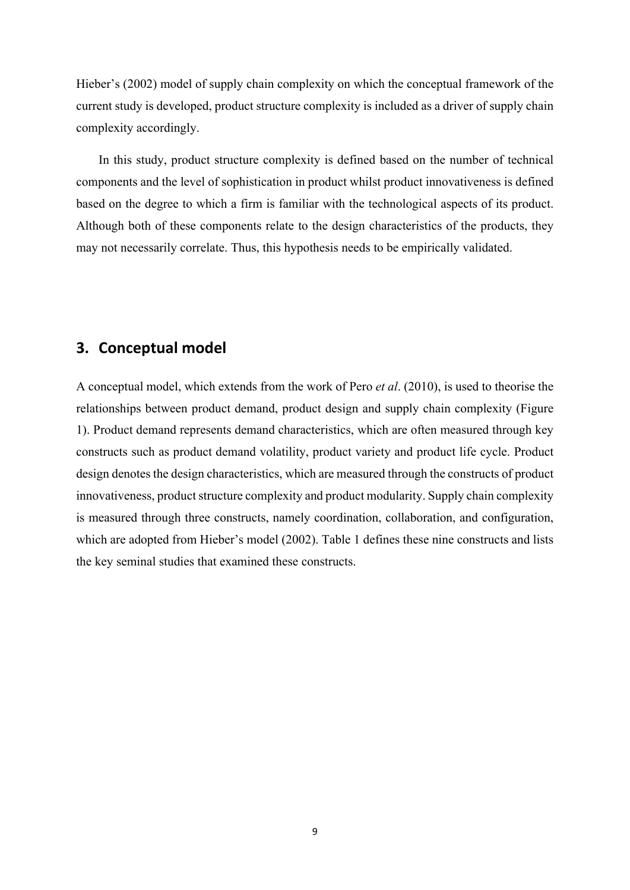Hieber's (2002) model of supply chain complexity on which the conceptual framework of the current study is developed, product structure complexity is included as a driver of supply chain complexity accordingly.

In this study, product structure complexity is defined based on the number of technical components and the level of sophistication in product whilst product innovativeness is defined based on the degree to which a firm is familiar with the technological aspects of its product. Although both of these components relate to the design characteristics of the products, they may not necessarily correlate. Thus, this hypothesis needs to be empirically validated.

# **3. Conceptual model**

A conceptual model, which extends from the work of Pero *et al*. (2010), is used to theorise the relationships between product demand, product design and supply chain complexity (Figure 1). Product demand represents demand characteristics, which are often measured through key constructs such as product demand volatility, product variety and product life cycle. Product design denotes the design characteristics, which are measured through the constructs of product innovativeness, product structure complexity and product modularity. Supply chain complexity is measured through three constructs, namely coordination, collaboration, and configuration, which are adopted from Hieber's model (2002). Table 1 defines these nine constructs and lists the key seminal studies that examined these constructs.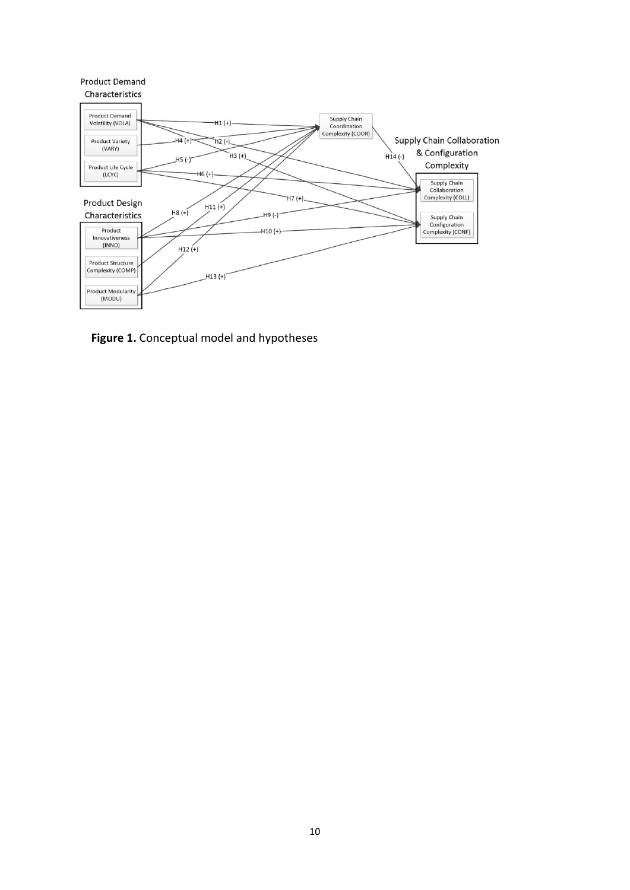

**Figure 1.** Conceptual model and hypotheses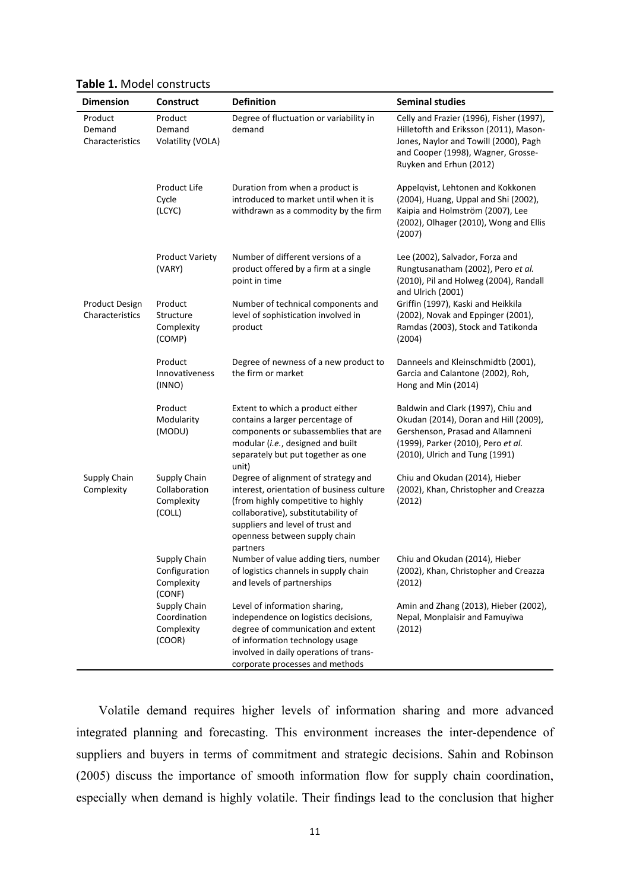| <b>Dimension</b>                         | <b>Construct</b>                                      | <b>Definition</b>                                                                                                                                                                                                                              | <b>Seminal studies</b>                                                                                                                                                                       |
|------------------------------------------|-------------------------------------------------------|------------------------------------------------------------------------------------------------------------------------------------------------------------------------------------------------------------------------------------------------|----------------------------------------------------------------------------------------------------------------------------------------------------------------------------------------------|
| Product<br>Demand<br>Characteristics     | Product<br>Demand<br>Volatility (VOLA)                | Degree of fluctuation or variability in<br>demand                                                                                                                                                                                              | Celly and Frazier (1996), Fisher (1997),<br>Hilletofth and Eriksson (2011), Mason-<br>Jones, Naylor and Towill (2000), Pagh<br>and Cooper (1998), Wagner, Grosse-<br>Ruyken and Erhun (2012) |
|                                          | Product Life<br>Cycle<br>(LCYC)                       | Duration from when a product is<br>introduced to market until when it is<br>withdrawn as a commodity by the firm                                                                                                                               | Appelqvist, Lehtonen and Kokkonen<br>(2004), Huang, Uppal and Shi (2002),<br>Kaipia and Holmström (2007), Lee<br>(2002), Olhager (2010), Wong and Ellis<br>(2007)                            |
|                                          | <b>Product Variety</b><br>(VARY)                      | Number of different versions of a<br>product offered by a firm at a single<br>point in time                                                                                                                                                    | Lee (2002), Salvador, Forza and<br>Rungtusanatham (2002), Pero et al.<br>(2010), Pil and Holweg (2004), Randall<br>and Ulrich (2001)                                                         |
| <b>Product Design</b><br>Characteristics | Product<br>Structure<br>Complexity<br>(COMP)          | Number of technical components and<br>level of sophistication involved in<br>product                                                                                                                                                           | Griffin (1997), Kaski and Heikkila<br>(2002), Novak and Eppinger (2001),<br>Ramdas (2003), Stock and Tatikonda<br>(2004)                                                                     |
|                                          | Product<br>Innovativeness<br>(INNO)                   | Degree of newness of a new product to<br>the firm or market                                                                                                                                                                                    | Danneels and Kleinschmidtb (2001),<br>Garcia and Calantone (2002), Roh,<br>Hong and Min (2014)                                                                                               |
|                                          | Product<br>Modularity<br>(MODU)                       | Extent to which a product either<br>contains a larger percentage of<br>components or subassemblies that are<br>modular (i.e., designed and built<br>separately but put together as one<br>unit)                                                | Baldwin and Clark (1997), Chiu and<br>Okudan (2014), Doran and Hill (2009),<br>Gershenson, Prasad and Allamneni<br>(1999), Parker (2010), Pero et al.<br>(2010), Ulrich and Tung (1991)      |
| Supply Chain<br>Complexity               | Supply Chain<br>Collaboration<br>Complexity<br>(COLL) | Degree of alignment of strategy and<br>interest, orientation of business culture<br>(from highly competitive to highly<br>collaborative), substitutability of<br>suppliers and level of trust and<br>openness between supply chain<br>partners | Chiu and Okudan (2014), Hieber<br>(2002), Khan, Christopher and Creazza<br>(2012)                                                                                                            |
|                                          | Supply Chain<br>Configuration<br>Complexity<br>(CONF) | Number of value adding tiers, number<br>of logistics channels in supply chain<br>and levels of partnerships                                                                                                                                    | Chiu and Okudan (2014), Hieber<br>(2002), Khan, Christopher and Creazza<br>(2012)                                                                                                            |
|                                          | Supply Chain<br>Coordination<br>Complexity<br>(COOR)  | Level of information sharing,<br>independence on logistics decisions,<br>degree of communication and extent<br>of information technology usage<br>involved in daily operations of trans-<br>corporate processes and methods                    | Amin and Zhang (2013), Hieber (2002),<br>Nepal, Monplaisir and Famuyiwa<br>(2012)                                                                                                            |

**Table 1.** Model constructs

Volatile demand requires higher levels of information sharing and more advanced integrated planning and forecasting. This environment increases the inter-dependence of suppliers and buyers in terms of commitment and strategic decisions. Sahin and Robinson (2005) discuss the importance of smooth information flow for supply chain coordination, especially when demand is highly volatile. Their findings lead to the conclusion that higher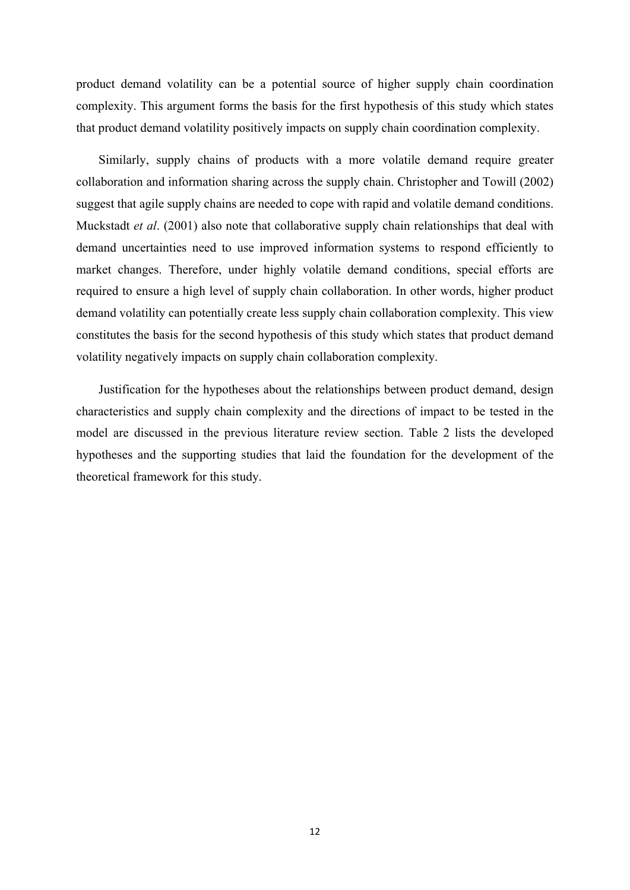product demand volatility can be a potential source of higher supply chain coordination complexity. This argument forms the basis for the first hypothesis of this study which states that product demand volatility positively impacts on supply chain coordination complexity.

Similarly, supply chains of products with a more volatile demand require greater collaboration and information sharing across the supply chain. Christopher and Towill (2002) suggest that agile supply chains are needed to cope with rapid and volatile demand conditions. Muckstadt *et al*. (2001) also note that collaborative supply chain relationships that deal with demand uncertainties need to use improved information systems to respond efficiently to market changes. Therefore, under highly volatile demand conditions, special efforts are required to ensure a high level of supply chain collaboration. In other words, higher product demand volatility can potentially create less supply chain collaboration complexity. This view constitutes the basis for the second hypothesis of this study which states that product demand volatility negatively impacts on supply chain collaboration complexity.

Justification for the hypotheses about the relationships between product demand, design characteristics and supply chain complexity and the directions of impact to be tested in the model are discussed in the previous literature review section. Table 2 lists the developed hypotheses and the supporting studies that laid the foundation for the development of the theoretical framework for this study.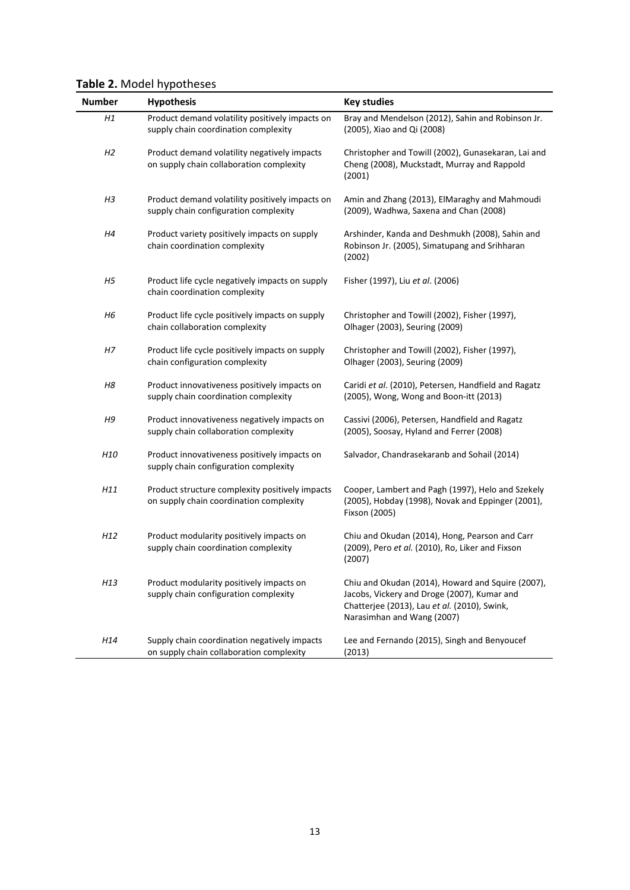| <b>Number</b>  | <b>Hypothesis</b>                                                                          | <b>Key studies</b>                                                                                                                                                             |
|----------------|--------------------------------------------------------------------------------------------|--------------------------------------------------------------------------------------------------------------------------------------------------------------------------------|
| Η1             | Product demand volatility positively impacts on<br>supply chain coordination complexity    | Bray and Mendelson (2012), Sahin and Robinson Jr.<br>(2005), Xiao and Qi (2008)                                                                                                |
| H <sub>2</sub> | Product demand volatility negatively impacts<br>on supply chain collaboration complexity   | Christopher and Towill (2002), Gunasekaran, Lai and<br>Cheng (2008), Muckstadt, Murray and Rappold<br>(2001)                                                                   |
| H3             | Product demand volatility positively impacts on<br>supply chain configuration complexity   | Amin and Zhang (2013), ElMaraghy and Mahmoudi<br>(2009), Wadhwa, Saxena and Chan (2008)                                                                                        |
| H4             | Product variety positively impacts on supply<br>chain coordination complexity              | Arshinder, Kanda and Deshmukh (2008), Sahin and<br>Robinson Jr. (2005), Simatupang and Srihharan<br>(2002)                                                                     |
| H <sub>5</sub> | Product life cycle negatively impacts on supply<br>chain coordination complexity           | Fisher (1997), Liu et al. (2006)                                                                                                                                               |
| H6             | Product life cycle positively impacts on supply<br>chain collaboration complexity          | Christopher and Towill (2002), Fisher (1997),<br>Olhager (2003), Seuring (2009)                                                                                                |
| Η7             | Product life cycle positively impacts on supply<br>chain configuration complexity          | Christopher and Towill (2002), Fisher (1997),<br>Olhager (2003), Seuring (2009)                                                                                                |
| H8             | Product innovativeness positively impacts on<br>supply chain coordination complexity       | Caridi et al. (2010), Petersen, Handfield and Ragatz<br>(2005), Wong, Wong and Boon-itt (2013)                                                                                 |
| H9             | Product innovativeness negatively impacts on<br>supply chain collaboration complexity      | Cassivi (2006), Petersen, Handfield and Ragatz<br>(2005), Soosay, Hyland and Ferrer (2008)                                                                                     |
| H10            | Product innovativeness positively impacts on<br>supply chain configuration complexity      | Salvador, Chandrasekaranb and Sohail (2014)                                                                                                                                    |
| H11            | Product structure complexity positively impacts<br>on supply chain coordination complexity | Cooper, Lambert and Pagh (1997), Helo and Szekely<br>(2005), Hobday (1998), Novak and Eppinger (2001),<br>Fixson (2005)                                                        |
| H12            | Product modularity positively impacts on<br>supply chain coordination complexity           | Chiu and Okudan (2014), Hong, Pearson and Carr<br>(2009), Pero et al. (2010), Ro, Liker and Fixson<br>(2007)                                                                   |
| H13            | Product modularity positively impacts on<br>supply chain configuration complexity          | Chiu and Okudan (2014), Howard and Squire (2007),<br>Jacobs, Vickery and Droge (2007), Kumar and<br>Chatterjee (2013), Lau et al. (2010), Swink,<br>Narasimhan and Wang (2007) |
| H14            | Supply chain coordination negatively impacts<br>on supply chain collaboration complexity   | Lee and Fernando (2015), Singh and Benyoucef<br>(2013)                                                                                                                         |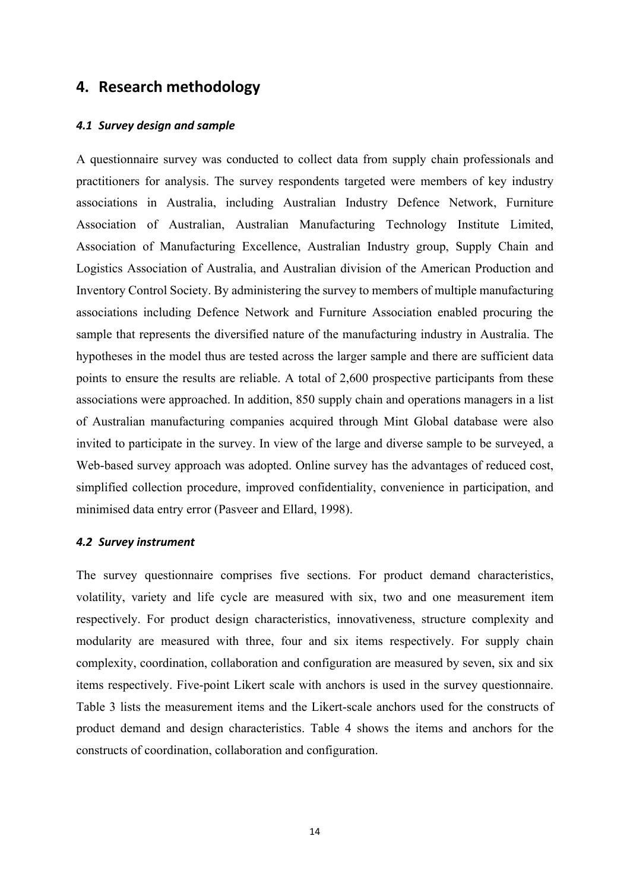# **4. Research methodology**

#### *4.1 Survey design and sample*

A questionnaire survey was conducted to collect data from supply chain professionals and practitioners for analysis. The survey respondents targeted were members of key industry associations in Australia, including Australian Industry Defence Network, Furniture Association of Australian, Australian Manufacturing Technology Institute Limited, Association of Manufacturing Excellence, Australian Industry group, Supply Chain and Logistics Association of Australia, and Australian division of the American Production and Inventory Control Society. By administering the survey to members of multiple manufacturing associations including Defence Network and Furniture Association enabled procuring the sample that represents the diversified nature of the manufacturing industry in Australia. The hypotheses in the model thus are tested across the larger sample and there are sufficient data points to ensure the results are reliable. A total of 2,600 prospective participants from these associations were approached. In addition, 850 supply chain and operations managers in a list of Australian manufacturing companies acquired through Mint Global database were also invited to participate in the survey. In view of the large and diverse sample to be surveyed, a Web-based survey approach was adopted. Online survey has the advantages of reduced cost, simplified collection procedure, improved confidentiality, convenience in participation, and minimised data entry error (Pasveer and Ellard, 1998).

#### *4.2 Survey instrument*

The survey questionnaire comprises five sections. For product demand characteristics, volatility, variety and life cycle are measured with six, two and one measurement item respectively. For product design characteristics, innovativeness, structure complexity and modularity are measured with three, four and six items respectively. For supply chain complexity, coordination, collaboration and configuration are measured by seven, six and six items respectively. Five-point Likert scale with anchors is used in the survey questionnaire. Table 3 lists the measurement items and the Likert-scale anchors used for the constructs of product demand and design characteristics. Table 4 shows the items and anchors for the constructs of coordination, collaboration and configuration.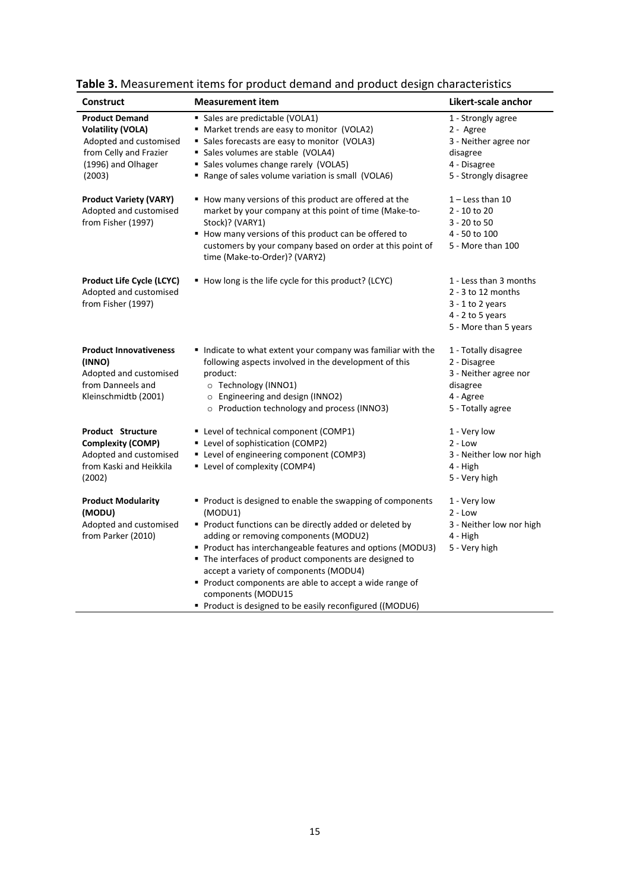| <b>Construct</b>                                                                                                                      | <b>Measurement item</b>                                                                                                                                                                                                                                                                                                                                                                                                                                                          | Likert-scale anchor                                                                                                 |
|---------------------------------------------------------------------------------------------------------------------------------------|----------------------------------------------------------------------------------------------------------------------------------------------------------------------------------------------------------------------------------------------------------------------------------------------------------------------------------------------------------------------------------------------------------------------------------------------------------------------------------|---------------------------------------------------------------------------------------------------------------------|
| <b>Product Demand</b><br><b>Volatility (VOLA)</b><br>Adopted and customised<br>from Celly and Frazier<br>(1996) and Olhager<br>(2003) | • Sales are predictable (VOLA1)<br>" Market trends are easy to monitor (VOLA2)<br>• Sales forecasts are easy to monitor (VOLA3)<br>• Sales volumes are stable (VOLA4)<br>• Sales volumes change rarely (VOLA5)<br>Range of sales volume variation is small (VOLA6)                                                                                                                                                                                                               | 1 - Strongly agree<br>2 - Agree<br>3 - Neither agree nor<br>disagree<br>4 - Disagree<br>5 - Strongly disagree       |
| <b>Product Variety (VARY)</b><br>Adopted and customised<br>from Fisher (1997)                                                         | How many versions of this product are offered at the<br>market by your company at this point of time (Make-to-<br>Stock)? (VARY1)<br>How many versions of this product can be offered to<br>customers by your company based on order at this point of<br>time (Make-to-Order)? (VARY2)                                                                                                                                                                                           | $1 -$ Less than 10<br>2 - 10 to 20<br>3 - 20 to 50<br>4 - 50 to 100<br>5 - More than 100                            |
| <b>Product Life Cycle (LCYC)</b><br>Adopted and customised<br>from Fisher (1997)                                                      | ■ How long is the life cycle for this product? (LCYC)                                                                                                                                                                                                                                                                                                                                                                                                                            | 1 - Less than 3 months<br>$2 - 3$ to 12 months<br>$3 - 1$ to 2 years<br>$4 - 2$ to 5 years<br>5 - More than 5 years |
| <b>Product Innovativeness</b><br>(INNO)<br>Adopted and customised<br>from Danneels and<br>Kleinschmidtb (2001)                        | Indicate to what extent your company was familiar with the<br>following aspects involved in the development of this<br>product:<br>O Technology (INNO1)<br>o Engineering and design (INNO2)<br>o Production technology and process (INNO3)                                                                                                                                                                                                                                       | 1 - Totally disagree<br>2 - Disagree<br>3 - Neither agree nor<br>disagree<br>4 - Agree<br>5 - Totally agree         |
| <b>Product Structure</b><br><b>Complexity (COMP)</b><br>Adopted and customised<br>from Kaski and Heikkila<br>(2002)                   | " Level of technical component (COMP1)<br>" Level of sophistication (COMP2)<br>" Level of engineering component (COMP3)<br>Level of complexity (COMP4)                                                                                                                                                                                                                                                                                                                           | 1 - Very low<br>$2 - Low$<br>3 - Neither low nor high<br>4 - High<br>5 - Very high                                  |
| <b>Product Modularity</b><br>(MODU)<br>Adopted and customised<br>from Parker (2010)                                                   | • Product is designed to enable the swapping of components<br>(MODU1)<br>Product functions can be directly added or deleted by<br>adding or removing components (MODU2)<br>Product has interchangeable features and options (MODU3)<br>" The interfaces of product components are designed to<br>accept a variety of components (MODU4)<br>Product components are able to accept a wide range of<br>components (MODU15<br>Product is designed to be easily reconfigured ((MODU6) | 1 - Very low<br>$2 - Low$<br>3 - Neither low nor high<br>4 - High<br>5 - Very high                                  |

**Table 3.** Measurement items for product demand and product design characteristics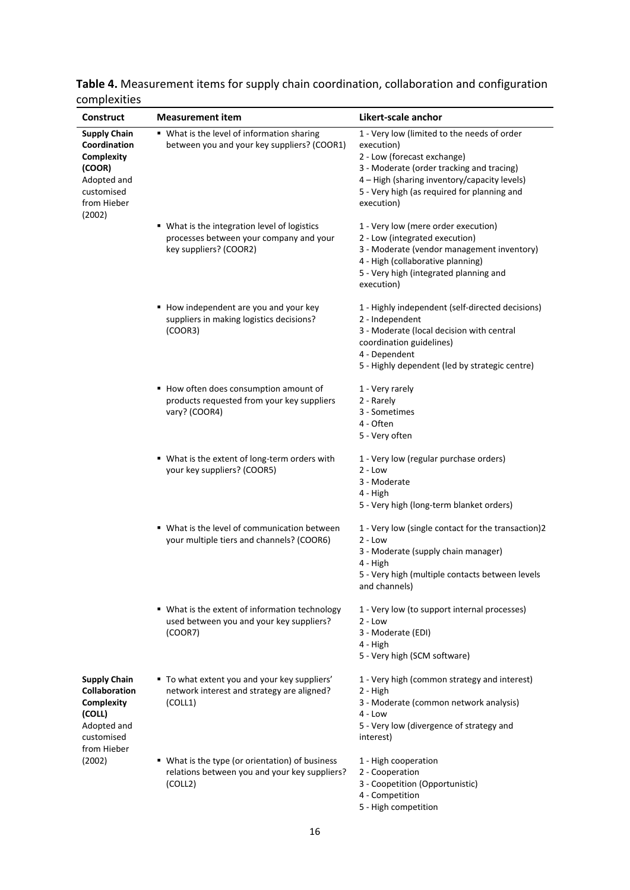| Construct                                                                                                         | <b>Measurement item</b>                                                                                           | Likert-scale anchor                                                                                                                                                                                                                                |
|-------------------------------------------------------------------------------------------------------------------|-------------------------------------------------------------------------------------------------------------------|----------------------------------------------------------------------------------------------------------------------------------------------------------------------------------------------------------------------------------------------------|
| <b>Supply Chain</b><br>Coordination<br>Complexity<br>(COOR)<br>Adopted and<br>customised<br>from Hieber<br>(2002) | " What is the level of information sharing<br>between you and your key suppliers? (COOR1)                         | 1 - Very low (limited to the needs of order<br>execution)<br>2 - Low (forecast exchange)<br>3 - Moderate (order tracking and tracing)<br>4 – High (sharing inventory/capacity levels)<br>5 - Very high (as required for planning and<br>execution) |
|                                                                                                                   | ■ What is the integration level of logistics<br>processes between your company and your<br>key suppliers? (COOR2) | 1 - Very low (mere order execution)<br>2 - Low (integrated execution)<br>3 - Moderate (vendor management inventory)<br>4 - High (collaborative planning)<br>5 - Very high (integrated planning and<br>execution)                                   |
|                                                                                                                   | How independent are you and your key<br>suppliers in making logistics decisions?<br>(COOR3)                       | 1 - Highly independent (self-directed decisions)<br>2 - Independent<br>3 - Moderate (local decision with central<br>coordination guidelines)<br>4 - Dependent<br>5 - Highly dependent (led by strategic centre)                                    |
|                                                                                                                   | How often does consumption amount of<br>products requested from your key suppliers<br>vary? (COOR4)               | 1 - Very rarely<br>2 - Rarely<br>3 - Sometimes<br>4 - Often<br>5 - Very often                                                                                                                                                                      |
|                                                                                                                   | " What is the extent of long-term orders with<br>your key suppliers? (COOR5)                                      | 1 - Very low (regular purchase orders)<br>$2 - Low$<br>3 - Moderate<br>4 - High<br>5 - Very high (long-term blanket orders)                                                                                                                        |
|                                                                                                                   | ■ What is the level of communication between<br>your multiple tiers and channels? (COOR6)                         | 1 - Very low (single contact for the transaction)2<br>$2 - Low$<br>3 - Moderate (supply chain manager)<br>4 - High<br>5 - Very high (multiple contacts between levels<br>and channels)                                                             |
|                                                                                                                   | " What is the extent of information technology<br>used between you and your key suppliers?<br>(COOR7)             | 1 - Very low (to support internal processes)<br>$2 - Low$<br>3 - Moderate (EDI)<br>4 - High<br>5 - Very high (SCM software)                                                                                                                        |
| <b>Supply Chain</b><br>Collaboration<br>Complexity<br>(COLL)<br>Adopted and<br>customised<br>from Hieber          | " To what extent you and your key suppliers'<br>network interest and strategy are aligned?<br>(COLL1)             | 1 - Very high (common strategy and interest)<br>2 - High<br>3 - Moderate (common network analysis)<br>$4 - Low$<br>5 - Very low (divergence of strategy and<br>interest)                                                                           |
| (2002)                                                                                                            | • What is the type (or orientation) of business<br>relations between you and your key suppliers?<br>(COLL2)       | 1 - High cooperation<br>2 - Cooperation<br>3 - Coopetition (Opportunistic)<br>4 - Competition<br>5 - High competition                                                                                                                              |

**Table 4.** Measurement items for supply chain coordination, collaboration and configuration complexities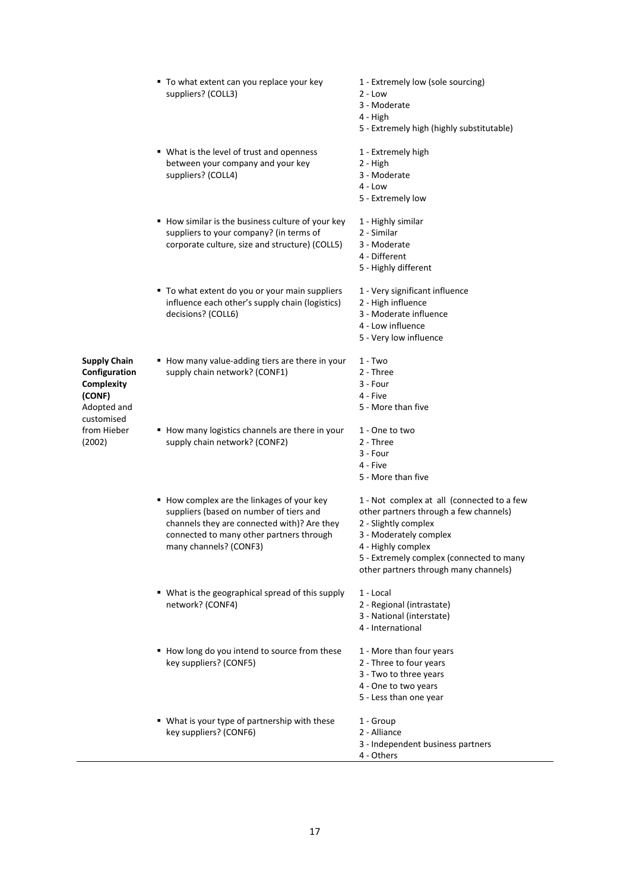|                                                                                                                    | " To what extent can you replace your key<br>suppliers? (COLL3)                                                                                                                                          | 1 - Extremely low (sole sourcing)<br>$2 - Low$<br>3 - Moderate<br>4 - High<br>5 - Extremely high (highly substitutable)                                                                                                                           |  |  |  |
|--------------------------------------------------------------------------------------------------------------------|----------------------------------------------------------------------------------------------------------------------------------------------------------------------------------------------------------|---------------------------------------------------------------------------------------------------------------------------------------------------------------------------------------------------------------------------------------------------|--|--|--|
|                                                                                                                    | • What is the level of trust and openness<br>between your company and your key<br>suppliers? (COLL4)                                                                                                     | 1 - Extremely high<br>2 - High<br>3 - Moderate<br>$4 - Low$<br>5 - Extremely low                                                                                                                                                                  |  |  |  |
|                                                                                                                    | How similar is the business culture of your key<br>suppliers to your company? (in terms of<br>corporate culture, size and structure) (COLL5)                                                             | 1 - Highly similar<br>2 - Similar<br>3 - Moderate<br>4 - Different<br>5 - Highly different                                                                                                                                                        |  |  |  |
|                                                                                                                    | " To what extent do you or your main suppliers<br>influence each other's supply chain (logistics)<br>decisions? (COLL6)                                                                                  | 1 - Very significant influence<br>2 - High influence<br>3 - Moderate influence<br>4 - Low influence<br>5 - Very low influence                                                                                                                     |  |  |  |
| <b>Supply Chain</b><br>Configuration<br>Complexity<br>(CONF)<br>Adopted and<br>customised<br>from Hieber<br>(2002) | How many value-adding tiers are there in your<br>supply chain network? (CONF1)                                                                                                                           | $1 - Two$<br>2 - Three<br>3 - Four<br>4 - Five<br>5 - More than five                                                                                                                                                                              |  |  |  |
|                                                                                                                    | How many logistics channels are there in your<br>supply chain network? (CONF2)                                                                                                                           | 1 - One to two<br>2 - Three<br>3 - Four<br>4 - Five<br>5 - More than five                                                                                                                                                                         |  |  |  |
|                                                                                                                    | How complex are the linkages of your key<br>suppliers (based on number of tiers and<br>channels they are connected with)? Are they<br>connected to many other partners through<br>many channels? (CONF3) | 1 - Not complex at all (connected to a few<br>other partners through a few channels)<br>2 - Slightly complex<br>3 - Moderately complex<br>4 - Highly complex<br>5 - Extremely complex (connected to many<br>other partners through many channels) |  |  |  |
|                                                                                                                    | ■ What is the geographical spread of this supply<br>network? (CONF4)                                                                                                                                     | 1 - Local<br>2 - Regional (intrastate)<br>3 - National (interstate)<br>4 - International                                                                                                                                                          |  |  |  |
|                                                                                                                    | How long do you intend to source from these<br>key suppliers? (CONF5)                                                                                                                                    | 1 - More than four years<br>2 - Three to four years<br>3 - Two to three years<br>4 - One to two years<br>5 - Less than one year                                                                                                                   |  |  |  |
|                                                                                                                    | " What is your type of partnership with these<br>key suppliers? (CONF6)                                                                                                                                  | 1 - Group<br>2 - Alliance<br>3 - Independent business partners<br>4 - Others                                                                                                                                                                      |  |  |  |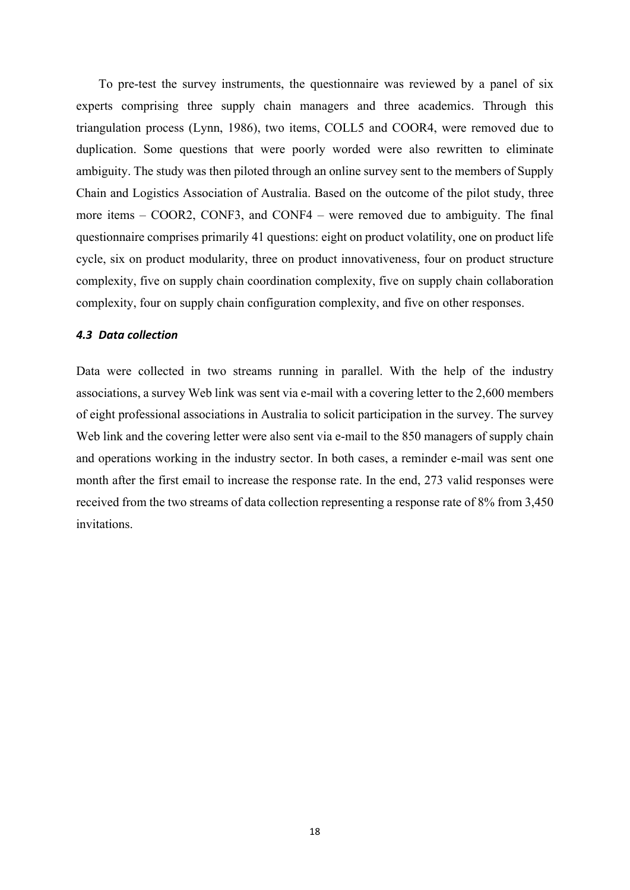To pre-test the survey instruments, the questionnaire was reviewed by a panel of six experts comprising three supply chain managers and three academics. Through this triangulation process (Lynn, 1986), two items, COLL5 and COOR4, were removed due to duplication. Some questions that were poorly worded were also rewritten to eliminate ambiguity. The study was then piloted through an online survey sent to the members of Supply Chain and Logistics Association of Australia. Based on the outcome of the pilot study, three more items – COOR2, CONF3, and CONF4 – were removed due to ambiguity. The final questionnaire comprises primarily 41 questions: eight on product volatility, one on product life cycle, six on product modularity, three on product innovativeness, four on product structure complexity, five on supply chain coordination complexity, five on supply chain collaboration complexity, four on supply chain configuration complexity, and five on other responses.

#### *4.3 Data collection*

Data were collected in two streams running in parallel. With the help of the industry associations, a survey Web link was sent via e-mail with a covering letter to the 2,600 members of eight professional associations in Australia to solicit participation in the survey. The survey Web link and the covering letter were also sent via e-mail to the 850 managers of supply chain and operations working in the industry sector. In both cases, a reminder e-mail was sent one month after the first email to increase the response rate. In the end, 273 valid responses were received from the two streams of data collection representing a response rate of 8% from 3,450 invitations.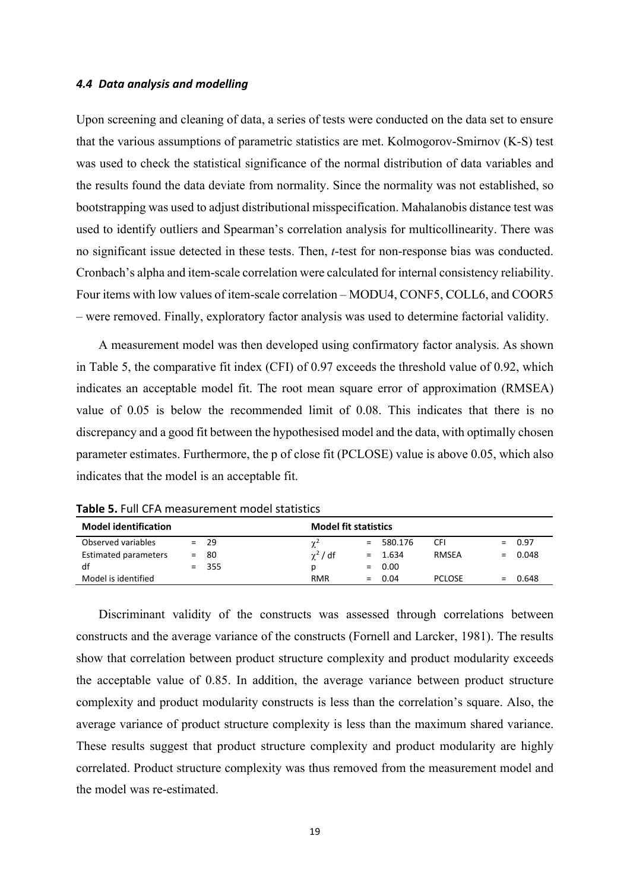#### *4.4 Data analysis and modelling*

Upon screening and cleaning of data, a series of tests were conducted on the data set to ensure that the various assumptions of parametric statistics are met. Kolmogorov-Smirnov (K-S) test was used to check the statistical significance of the normal distribution of data variables and the results found the data deviate from normality. Since the normality was not established, so bootstrapping was used to adjust distributional misspecification. Mahalanobis distance test was used to identify outliers and Spearman's correlation analysis for multicollinearity. There was no significant issue detected in these tests. Then, *t*-test for non-response bias was conducted. Cronbach's alpha and item-scale correlation were calculated for internal consistency reliability. Four items with low values of item-scale correlation – MODU4, CONF5, COLL6, and COOR5 – were removed. Finally, exploratory factor analysis was used to determine factorial validity.

A measurement model was then developed using confirmatory factor analysis. As shown in Table 5, the comparative fit index (CFI) of 0.97 exceeds the threshold value of 0.92, which indicates an acceptable model fit. The root mean square error of approximation (RMSEA) value of 0.05 is below the recommended limit of 0.08. This indicates that there is no discrepancy and a good fit between the hypothesised model and the data, with optimally chosen parameter estimates. Furthermore, the p of close fit (PCLOSE) value is above 0.05, which also indicates that the model is an acceptable fit.

| <b>Model identification</b> |     |         | <b>Model fit statistics</b> |     |           |               |           |
|-----------------------------|-----|---------|-----------------------------|-----|-----------|---------------|-----------|
| Observed variables          |     | $= 29$  | $\gamma^2$                  | $=$ | 580.176   | CFI           | $= 0.97$  |
| Estimated parameters        | $=$ | -80     | $\chi^2$ / df               |     | $= 1.634$ | RMSEA         | $= 0.048$ |
| df                          |     | $= 355$ | D                           |     | $= 0.00$  |               |           |
| Model is identified         |     |         | <b>RMR</b>                  |     | $= 0.04$  | <b>PCLOSE</b> | $= 0.648$ |

**Table 5.** Full CFA measurement model statistics

Discriminant validity of the constructs was assessed through correlations between constructs and the average variance of the constructs (Fornell and Larcker, 1981). The results show that correlation between product structure complexity and product modularity exceeds the acceptable value of 0.85. In addition, the average variance between product structure complexity and product modularity constructs is less than the correlation's square. Also, the average variance of product structure complexity is less than the maximum shared variance. These results suggest that product structure complexity and product modularity are highly correlated. Product structure complexity was thus removed from the measurement model and the model was re-estimated.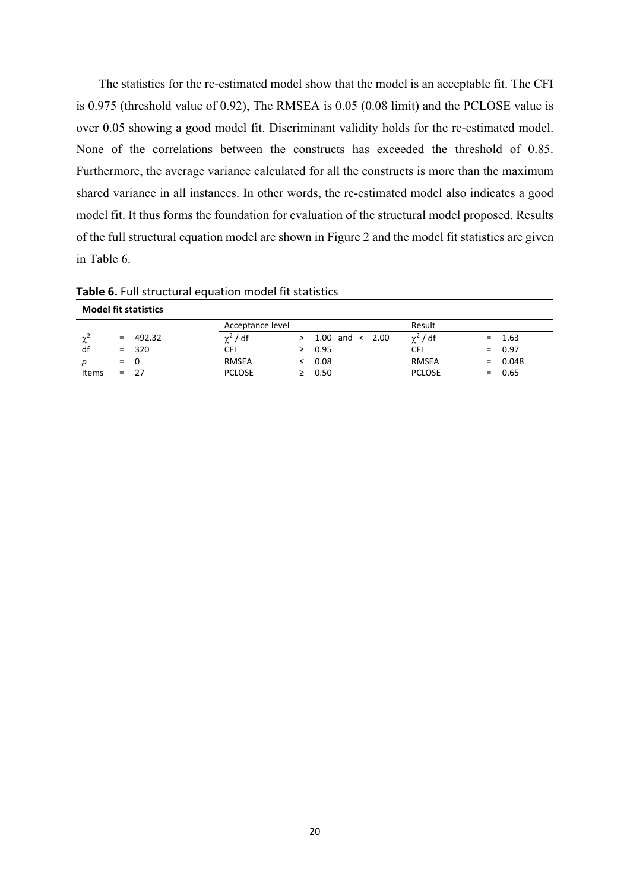The statistics for the re-estimated model show that the model is an acceptable fit. The CFI is 0.975 (threshold value of 0.92), The RMSEA is 0.05 (0.08 limit) and the PCLOSE value is over 0.05 showing a good model fit. Discriminant validity holds for the re-estimated model. None of the correlations between the constructs has exceeded the threshold of 0.85. Furthermore, the average variance calculated for all the constructs is more than the maximum shared variance in all instances. In other words, the re-estimated model also indicates a good model fit. It thus forms the foundation for evaluation of the structural model proposed. Results of the full structural equation model are shown in Figure 2 and the model fit statistics are given in Table 6.

**Model fit statistics** Acceptance level and a series of the Result  $\chi^2$  = 492.32  $\chi^2$  / df > 1.00 and < 2.00  $\chi^2$  / df = 1.63 df = 320 CFI ≥ 0.95 CFI = 0.97 *p* = 0 RMSEA ≤ 0.08 RMSEA = 0.048 Items =  $27$  PCLOSE  $\geq 0.50$  PCLOSE =  $0.65$ 

**Table 6.** Full structural equation model fit statistics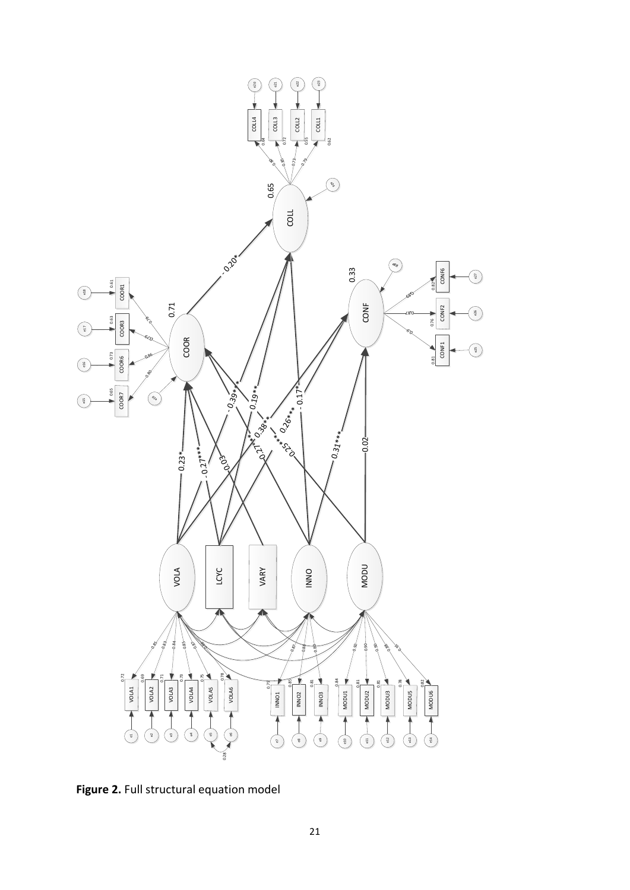

**Figure 2.** Full structural equation model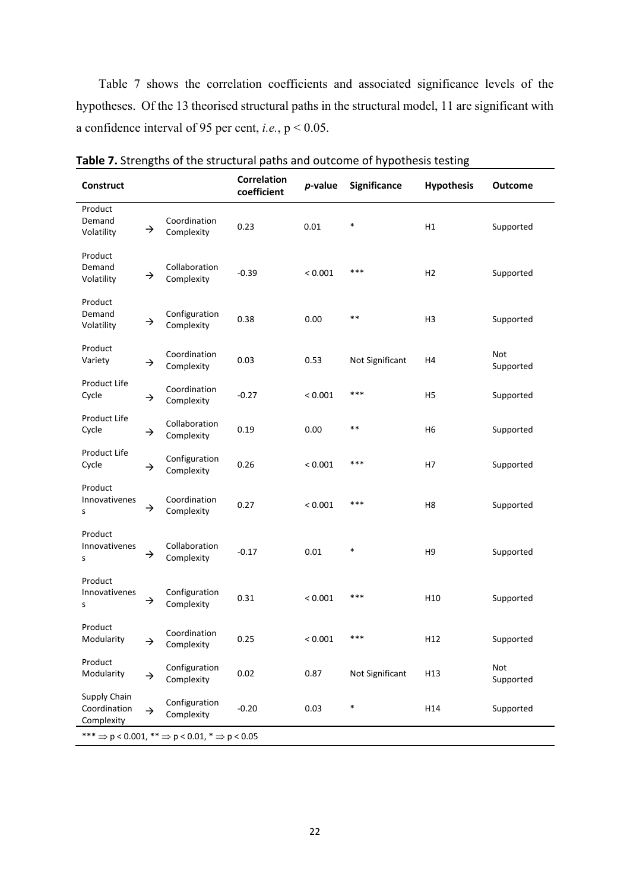Table 7 shows the correlation coefficients and associated significance levels of the hypotheses. Of the 13 theorised structural paths in the structural model, 11 are significant with a confidence interval of 95 per cent, *i.e.*, p < 0.05.

| <b>Construct</b>                                                                 |               |                             | <b>Correlation</b><br>coefficient | p-value | Significance    | <b>Hypothesis</b> | <b>Outcome</b>   |  |
|----------------------------------------------------------------------------------|---------------|-----------------------------|-----------------------------------|---------|-----------------|-------------------|------------------|--|
| Product<br>Demand<br>Volatility                                                  | →             | Coordination<br>Complexity  | 0.23                              | 0.01    | $\ast$          | H1                | Supported        |  |
| Product<br>Demand<br>Volatility                                                  | →             | Collaboration<br>Complexity | $-0.39$                           | < 0.001 | ***             | H <sub>2</sub>    | Supported        |  |
| Product<br>Demand<br>Volatility                                                  | →             | Configuration<br>Complexity | 0.38                              | 0.00    | $***$           | H <sub>3</sub>    | Supported        |  |
| Product<br>Variety                                                               | →             | Coordination<br>Complexity  | 0.03                              | 0.53    | Not Significant | H4                | Not<br>Supported |  |
| Product Life<br>Cycle                                                            | →             | Coordination<br>Complexity  | $-0.27$                           | < 0.001 | ***             | H5                | Supported        |  |
| <b>Product Life</b><br>Cycle                                                     | →             | Collaboration<br>Complexity | 0.19                              | 0.00    | $***$           | H6                | Supported        |  |
| Product Life<br>Cycle                                                            | →             | Configuration<br>Complexity | 0.26                              | < 0.001 | ***             | H7                | Supported        |  |
| Product<br>Innovativenes<br>s                                                    | →             | Coordination<br>Complexity  | 0.27                              | < 0.001 | ***             | H <sub>8</sub>    | Supported        |  |
| Product<br>Innovativenes<br>s                                                    | →             | Collaboration<br>Complexity | $-0.17$                           | 0.01    | *               | H <sub>9</sub>    | Supported        |  |
| Product<br>Innovativenes<br>S                                                    | →             | Configuration<br>Complexity | 0.31                              | < 0.001 | ***             | H <sub>10</sub>   | Supported        |  |
| Product<br>Modularity                                                            | →             | Coordination<br>Complexity  | 0.25                              | < 0.001 | ***             | H <sub>12</sub>   | Supported        |  |
| Product<br>Modularity                                                            | →             | Configuration<br>Complexity | 0.02                              | 0.87    | Not Significant | H13               | Not<br>Supported |  |
| Supply Chain<br>Coordination<br>Complexity                                       | $\rightarrow$ | Configuration<br>Complexity | $-0.20$                           | 0.03    | $\ast$          | H14               | Supported        |  |
| *** $\Rightarrow$ p < 0.001, ** $\Rightarrow$ p < 0.01, * $\Rightarrow$ p < 0.05 |               |                             |                                   |         |                 |                   |                  |  |

**Table 7.** Strengths of the structural paths and outcome of hypothesis testing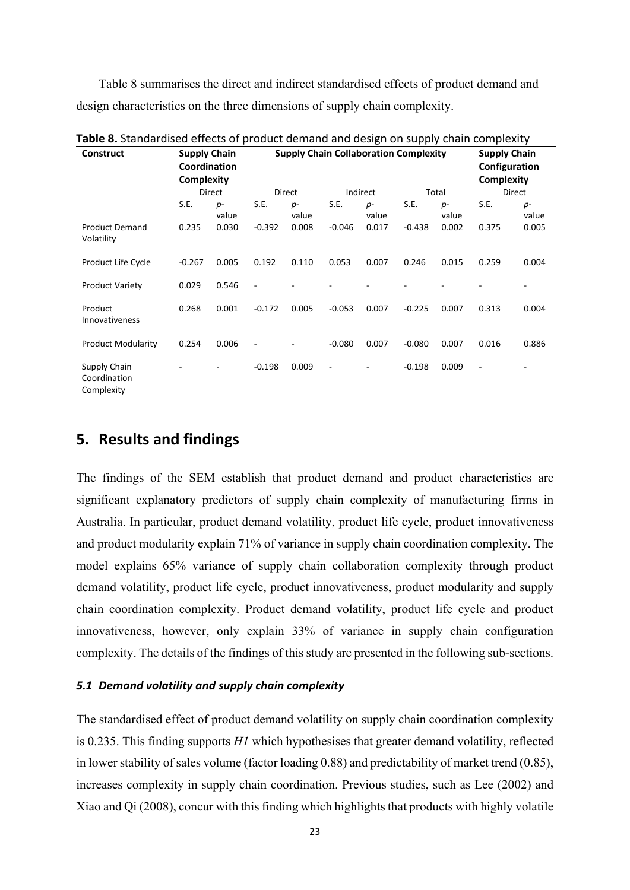Table 8 summarises the direct and indirect standardised effects of product demand and design characteristics on the three dimensions of supply chain complexity.

| <b>Construct</b>                           | <b>Supply Chain</b><br>Coordination<br>Complexity |               | <b>Table of</b> Standardisca chiccle of product achiana and acsign on supply chain complexity<br><b>Supply Chain Collaboration Complexity</b> |               |                          |               |          |               | <b>Supply Chain</b><br>Configuration<br><b>Complexity</b> |               |
|--------------------------------------------|---------------------------------------------------|---------------|-----------------------------------------------------------------------------------------------------------------------------------------------|---------------|--------------------------|---------------|----------|---------------|-----------------------------------------------------------|---------------|
|                                            |                                                   | Direct        | Direct                                                                                                                                        |               | Indirect                 |               | Total    |               | Direct                                                    |               |
|                                            | S.E.                                              | $p-$<br>value | S.E.                                                                                                                                          | $p-$<br>value | S.E.                     | $p-$<br>value | S.E.     | $p-$<br>value | S.E.                                                      | $p-$<br>value |
| <b>Product Demand</b><br>Volatility        | 0.235                                             | 0.030         | $-0.392$                                                                                                                                      | 0.008         | $-0.046$                 | 0.017         | $-0.438$ | 0.002         | 0.375                                                     | 0.005         |
| Product Life Cycle                         | $-0.267$                                          | 0.005         | 0.192                                                                                                                                         | 0.110         | 0.053                    | 0.007         | 0.246    | 0.015         | 0.259                                                     | 0.004         |
| <b>Product Variety</b>                     | 0.029                                             | 0.546         | ٠                                                                                                                                             |               |                          |               |          |               |                                                           | ٠             |
| Product<br>Innovativeness                  | 0.268                                             | 0.001         | $-0.172$                                                                                                                                      | 0.005         | $-0.053$                 | 0.007         | $-0.225$ | 0.007         | 0.313                                                     | 0.004         |
| <b>Product Modularity</b>                  | 0.254                                             | 0.006         |                                                                                                                                               |               | $-0.080$                 | 0.007         | $-0.080$ | 0.007         | 0.016                                                     | 0.886         |
| Supply Chain<br>Coordination<br>Complexity |                                                   |               | $-0.198$                                                                                                                                      | 0.009         | $\overline{\phantom{a}}$ |               | $-0.198$ | 0.009         | $\overline{\phantom{a}}$                                  |               |

**Table 8.** Standardised effects of product demand and design on supply chain complexity

# **5. Results and findings**

The findings of the SEM establish that product demand and product characteristics are significant explanatory predictors of supply chain complexity of manufacturing firms in Australia. In particular, product demand volatility, product life cycle, product innovativeness and product modularity explain 71% of variance in supply chain coordination complexity. The model explains 65% variance of supply chain collaboration complexity through product demand volatility, product life cycle, product innovativeness, product modularity and supply chain coordination complexity. Product demand volatility, product life cycle and product innovativeness, however, only explain 33% of variance in supply chain configuration complexity. The details of the findings of this study are presented in the following sub-sections.

#### *5.1 Demand volatility and supply chain complexity*

The standardised effect of product demand volatility on supply chain coordination complexity is 0.235. This finding supports *H1* which hypothesises that greater demand volatility, reflected in lower stability of sales volume (factor loading 0.88) and predictability of market trend (0.85), increases complexity in supply chain coordination. Previous studies, such as Lee (2002) and Xiao and Qi (2008), concur with this finding which highlights that products with highly volatile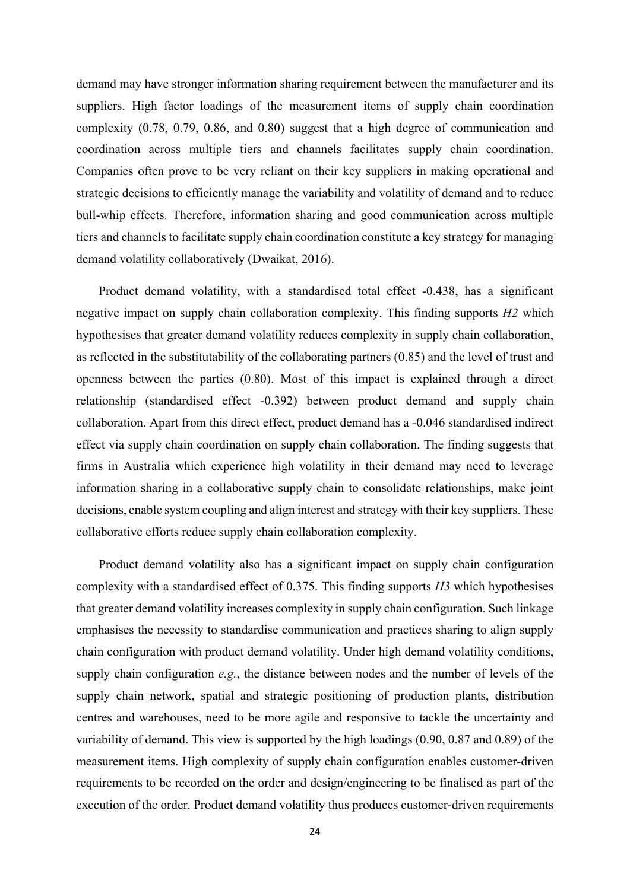demand may have stronger information sharing requirement between the manufacturer and its suppliers. High factor loadings of the measurement items of supply chain coordination complexity (0.78, 0.79, 0.86, and 0.80) suggest that a high degree of communication and coordination across multiple tiers and channels facilitates supply chain coordination. Companies often prove to be very reliant on their key suppliers in making operational and strategic decisions to efficiently manage the variability and volatility of demand and to reduce bull-whip effects. Therefore, information sharing and good communication across multiple tiers and channels to facilitate supply chain coordination constitute a key strategy for managing demand volatility collaboratively (Dwaikat, 2016).

Product demand volatility, with a standardised total effect -0.438, has a significant negative impact on supply chain collaboration complexity. This finding supports *H2* which hypothesises that greater demand volatility reduces complexity in supply chain collaboration, as reflected in the substitutability of the collaborating partners (0.85) and the level of trust and openness between the parties (0.80). Most of this impact is explained through a direct relationship (standardised effect -0.392) between product demand and supply chain collaboration. Apart from this direct effect, product demand has a -0.046 standardised indirect effect via supply chain coordination on supply chain collaboration. The finding suggests that firms in Australia which experience high volatility in their demand may need to leverage information sharing in a collaborative supply chain to consolidate relationships, make joint decisions, enable system coupling and align interest and strategy with their key suppliers. These collaborative efforts reduce supply chain collaboration complexity.

Product demand volatility also has a significant impact on supply chain configuration complexity with a standardised effect of 0.375. This finding supports *H3* which hypothesises that greater demand volatility increases complexity in supply chain configuration. Such linkage emphasises the necessity to standardise communication and practices sharing to align supply chain configuration with product demand volatility. Under high demand volatility conditions, supply chain configuration *e.g.*, the distance between nodes and the number of levels of the supply chain network, spatial and strategic positioning of production plants, distribution centres and warehouses, need to be more agile and responsive to tackle the uncertainty and variability of demand. This view is supported by the high loadings (0.90, 0.87 and 0.89) of the measurement items. High complexity of supply chain configuration enables customer-driven requirements to be recorded on the order and design/engineering to be finalised as part of the execution of the order. Product demand volatility thus produces customer-driven requirements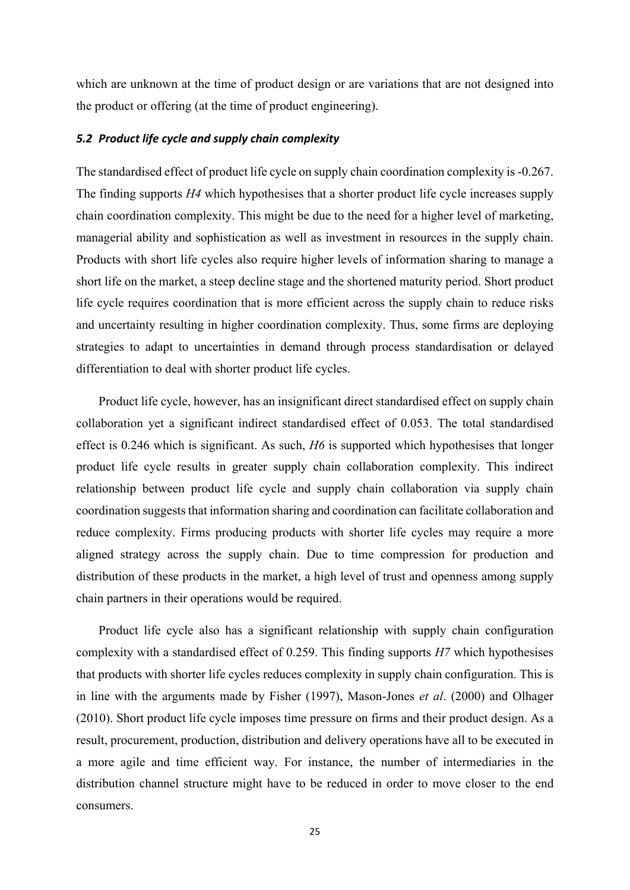which are unknown at the time of product design or are variations that are not designed into the product or offering (at the time of product engineering).

#### *5.2 Product life cycle and supply chain complexity*

The standardised effect of product life cycle on supply chain coordination complexity is -0.267. The finding supports *H4* which hypothesises that a shorter product life cycle increases supply chain coordination complexity. This might be due to the need for a higher level of marketing, managerial ability and sophistication as well as investment in resources in the supply chain. Products with short life cycles also require higher levels of information sharing to manage a short life on the market, a steep decline stage and the shortened maturity period. Short product life cycle requires coordination that is more efficient across the supply chain to reduce risks and uncertainty resulting in higher coordination complexity. Thus, some firms are deploying strategies to adapt to uncertainties in demand through process standardisation or delayed differentiation to deal with shorter product life cycles.

Product life cycle, however, has an insignificant direct standardised effect on supply chain collaboration yet a significant indirect standardised effect of 0.053. The total standardised effect is 0.246 which is significant. As such, *H6* is supported which hypothesises that longer product life cycle results in greater supply chain collaboration complexity. This indirect relationship between product life cycle and supply chain collaboration via supply chain coordination suggests that information sharing and coordination can facilitate collaboration and reduce complexity. Firms producing products with shorter life cycles may require a more aligned strategy across the supply chain. Due to time compression for production and distribution of these products in the market, a high level of trust and openness among supply chain partners in their operations would be required.

Product life cycle also has a significant relationship with supply chain configuration complexity with a standardised effect of 0.259. This finding supports *H7* which hypothesises that products with shorter life cycles reduces complexity in supply chain configuration. This is in line with the arguments made by Fisher (1997), Mason-Jones *et al*. (2000) and Olhager (2010). Short product life cycle imposes time pressure on firms and their product design. As a result, procurement, production, distribution and delivery operations have all to be executed in a more agile and time efficient way. For instance, the number of intermediaries in the distribution channel structure might have to be reduced in order to move closer to the end consumers.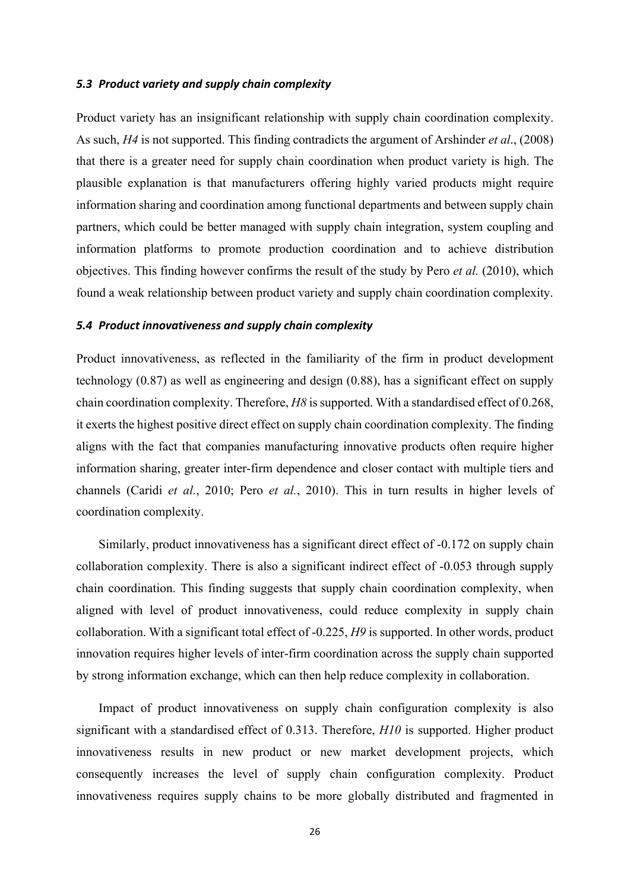#### *5.3 Product variety and supply chain complexity*

Product variety has an insignificant relationship with supply chain coordination complexity. As such, *H4* is not supported. This finding contradicts the argument of Arshinder *et al*., (2008) that there is a greater need for supply chain coordination when product variety is high. The plausible explanation is that manufacturers offering highly varied products might require information sharing and coordination among functional departments and between supply chain partners, which could be better managed with supply chain integration, system coupling and information platforms to promote production coordination and to achieve distribution objectives. This finding however confirms the result of the study by Pero *et al.* (2010), which found a weak relationship between product variety and supply chain coordination complexity.

#### *5.4 Product innovativeness and supply chain complexity*

Product innovativeness, as reflected in the familiarity of the firm in product development technology (0.87) as well as engineering and design (0.88), has a significant effect on supply chain coordination complexity. Therefore, *H8* is supported. With a standardised effect of 0.268, it exerts the highest positive direct effect on supply chain coordination complexity. The finding aligns with the fact that companies manufacturing innovative products often require higher information sharing, greater inter-firm dependence and closer contact with multiple tiers and channels (Caridi *et al.*, 2010; Pero *et al.*, 2010). This in turn results in higher levels of coordination complexity.

Similarly, product innovativeness has a significant direct effect of -0.172 on supply chain collaboration complexity. There is also a significant indirect effect of -0.053 through supply chain coordination. This finding suggests that supply chain coordination complexity, when aligned with level of product innovativeness, could reduce complexity in supply chain collaboration. With a significant total effect of -0.225, *H9* is supported. In other words, product innovation requires higher levels of inter-firm coordination across the supply chain supported by strong information exchange, which can then help reduce complexity in collaboration.

Impact of product innovativeness on supply chain configuration complexity is also significant with a standardised effect of 0.313. Therefore, *H10* is supported. Higher product innovativeness results in new product or new market development projects, which consequently increases the level of supply chain configuration complexity. Product innovativeness requires supply chains to be more globally distributed and fragmented in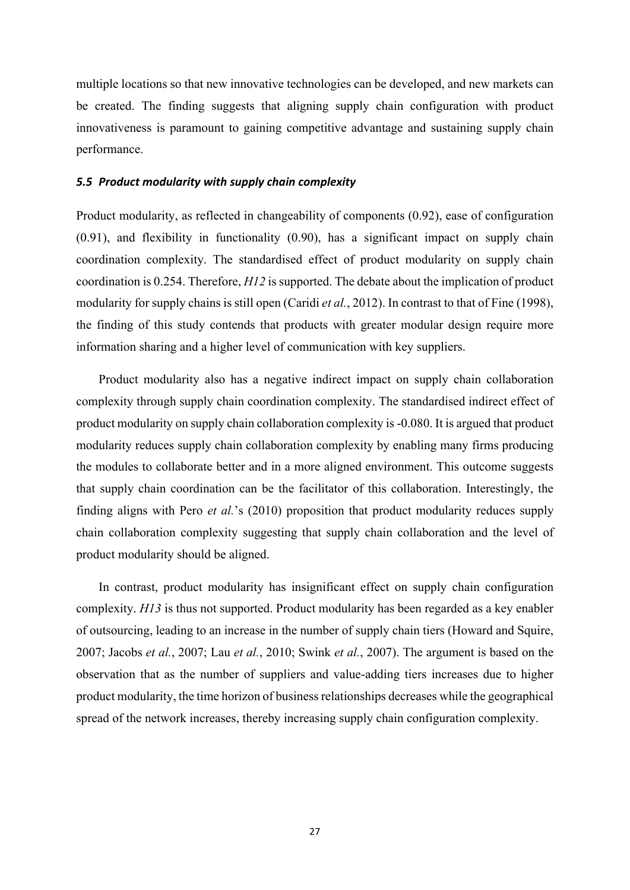multiple locations so that new innovative technologies can be developed, and new markets can be created. The finding suggests that aligning supply chain configuration with product innovativeness is paramount to gaining competitive advantage and sustaining supply chain performance.

#### *5.5 Product modularity with supply chain complexity*

Product modularity, as reflected in changeability of components (0.92), ease of configuration (0.91), and flexibility in functionality (0.90), has a significant impact on supply chain coordination complexity. The standardised effect of product modularity on supply chain coordination is 0.254. Therefore, *H12* is supported. The debate about the implication of product modularity for supply chains is still open (Caridi *et al.*, 2012). In contrast to that of Fine (1998), the finding of this study contends that products with greater modular design require more information sharing and a higher level of communication with key suppliers.

Product modularity also has a negative indirect impact on supply chain collaboration complexity through supply chain coordination complexity. The standardised indirect effect of product modularity on supply chain collaboration complexity is -0.080. It is argued that product modularity reduces supply chain collaboration complexity by enabling many firms producing the modules to collaborate better and in a more aligned environment. This outcome suggests that supply chain coordination can be the facilitator of this collaboration. Interestingly, the finding aligns with Pero *et al.*'s (2010) proposition that product modularity reduces supply chain collaboration complexity suggesting that supply chain collaboration and the level of product modularity should be aligned.

In contrast, product modularity has insignificant effect on supply chain configuration complexity. *H13* is thus not supported. Product modularity has been regarded as a key enabler of outsourcing, leading to an increase in the number of supply chain tiers (Howard and Squire, 2007; Jacobs *et al.*, 2007; Lau *et al.*, 2010; Swink *et al.*, 2007). The argument is based on the observation that as the number of suppliers and value-adding tiers increases due to higher product modularity, the time horizon of business relationships decreases while the geographical spread of the network increases, thereby increasing supply chain configuration complexity.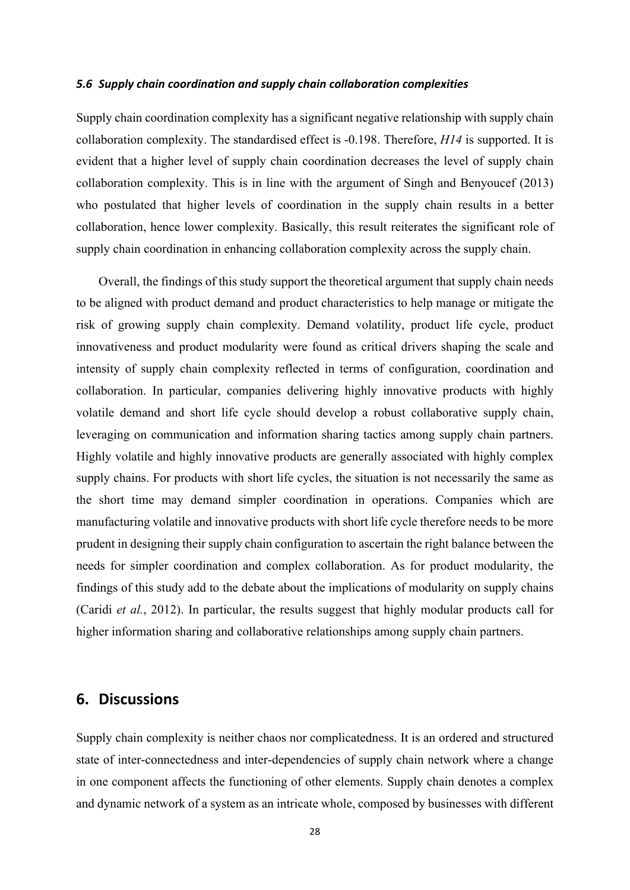#### *5.6 Supply chain coordination and supply chain collaboration complexities*

Supply chain coordination complexity has a significant negative relationship with supply chain collaboration complexity. The standardised effect is -0.198. Therefore, *H14* is supported. It is evident that a higher level of supply chain coordination decreases the level of supply chain collaboration complexity. This is in line with the argument of Singh and Benyoucef (2013) who postulated that higher levels of coordination in the supply chain results in a better collaboration, hence lower complexity. Basically, this result reiterates the significant role of supply chain coordination in enhancing collaboration complexity across the supply chain.

Overall, the findings of this study support the theoretical argument that supply chain needs to be aligned with product demand and product characteristics to help manage or mitigate the risk of growing supply chain complexity. Demand volatility, product life cycle, product innovativeness and product modularity were found as critical drivers shaping the scale and intensity of supply chain complexity reflected in terms of configuration, coordination and collaboration. In particular, companies delivering highly innovative products with highly volatile demand and short life cycle should develop a robust collaborative supply chain, leveraging on communication and information sharing tactics among supply chain partners. Highly volatile and highly innovative products are generally associated with highly complex supply chains. For products with short life cycles, the situation is not necessarily the same as the short time may demand simpler coordination in operations. Companies which are manufacturing volatile and innovative products with short life cycle therefore needs to be more prudent in designing their supply chain configuration to ascertain the right balance between the needs for simpler coordination and complex collaboration. As for product modularity, the findings of this study add to the debate about the implications of modularity on supply chains (Caridi *et al.*, 2012). In particular, the results suggest that highly modular products call for higher information sharing and collaborative relationships among supply chain partners.

# **6. Discussions**

Supply chain complexity is neither chaos nor complicatedness. It is an ordered and structured state of inter-connectedness and inter-dependencies of supply chain network where a change in one component affects the functioning of other elements. Supply chain denotes a complex and dynamic network of a system as an intricate whole, composed by businesses with different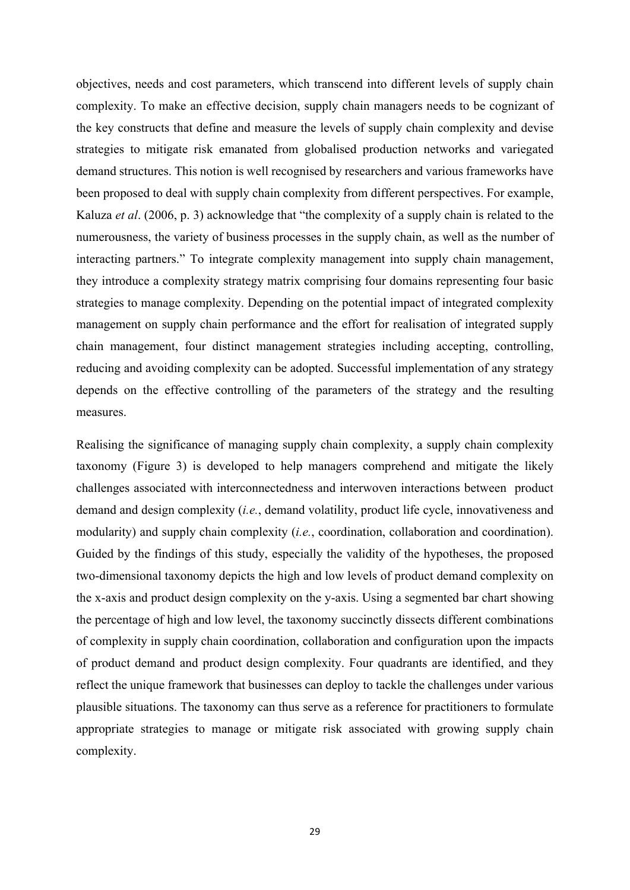objectives, needs and cost parameters, which transcend into different levels of supply chain complexity. To make an effective decision, supply chain managers needs to be cognizant of the key constructs that define and measure the levels of supply chain complexity and devise strategies to mitigate risk emanated from globalised production networks and variegated demand structures. This notion is well recognised by researchers and various frameworks have been proposed to deal with supply chain complexity from different perspectives. For example, Kaluza *et al*. (2006, p. 3) acknowledge that "the complexity of a supply chain is related to the numerousness, the variety of business processes in the supply chain, as well as the number of interacting partners." To integrate complexity management into supply chain management, they introduce a complexity strategy matrix comprising four domains representing four basic strategies to manage complexity. Depending on the potential impact of integrated complexity management on supply chain performance and the effort for realisation of integrated supply chain management, four distinct management strategies including accepting, controlling, reducing and avoiding complexity can be adopted. Successful implementation of any strategy depends on the effective controlling of the parameters of the strategy and the resulting measures.

Realising the significance of managing supply chain complexity, a supply chain complexity taxonomy (Figure 3) is developed to help managers comprehend and mitigate the likely challenges associated with interconnectedness and interwoven interactions between product demand and design complexity (*i.e.*, demand volatility, product life cycle, innovativeness and modularity) and supply chain complexity (*i.e.*, coordination, collaboration and coordination). Guided by the findings of this study, especially the validity of the hypotheses, the proposed two-dimensional taxonomy depicts the high and low levels of product demand complexity on the x-axis and product design complexity on the y-axis. Using a segmented bar chart showing the percentage of high and low level, the taxonomy succinctly dissects different combinations of complexity in supply chain coordination, collaboration and configuration upon the impacts of product demand and product design complexity. Four quadrants are identified, and they reflect the unique framework that businesses can deploy to tackle the challenges under various plausible situations. The taxonomy can thus serve as a reference for practitioners to formulate appropriate strategies to manage or mitigate risk associated with growing supply chain complexity.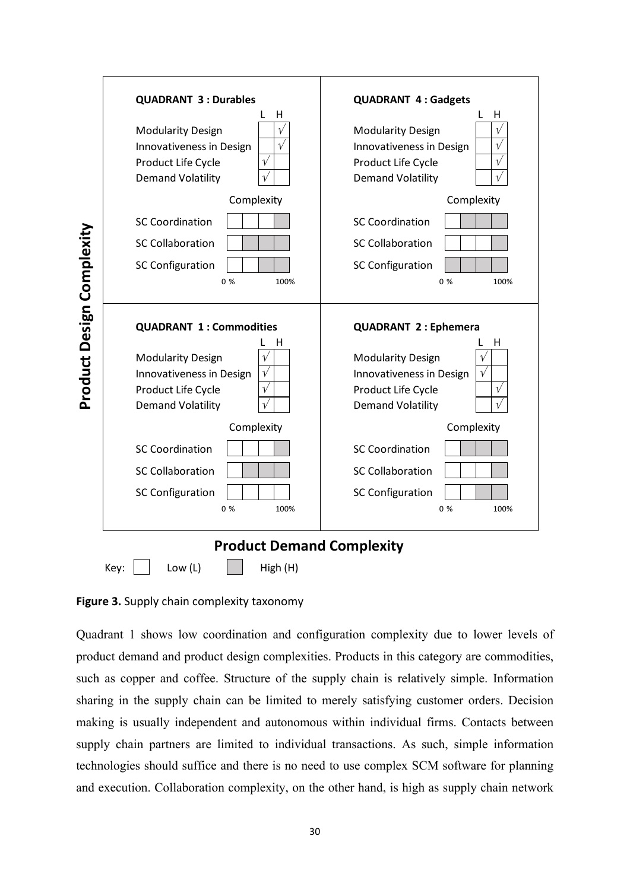|                           | <b>QUADRANT 3: Durables</b><br>н<br><b>Modularity Design</b><br>$\mathcal V$<br>Innovativeness in Design<br>$\mathcal V$<br>Product Life Cycle<br>$\sqrt{ }$<br><b>Demand Volatility</b> | <b>QUADRANT 4: Gadgets</b><br>н<br><b>Modularity Design</b><br>Innovativeness in Design<br>V<br>Product Life Cycle<br>$\sqrt{}$<br><b>Demand Volatility</b><br>$\sqrt{}$ |
|---------------------------|------------------------------------------------------------------------------------------------------------------------------------------------------------------------------------------|--------------------------------------------------------------------------------------------------------------------------------------------------------------------------|
|                           | Complexity                                                                                                                                                                               | Complexity                                                                                                                                                               |
|                           | <b>SC Coordination</b>                                                                                                                                                                   | <b>SC Coordination</b>                                                                                                                                                   |
|                           | <b>SC Collaboration</b>                                                                                                                                                                  | <b>SC Collaboration</b>                                                                                                                                                  |
|                           | <b>SC Configuration</b><br>0%<br>100%                                                                                                                                                    | <b>SC Configuration</b><br>0%<br>100%                                                                                                                                    |
|                           | <b>QUADRANT 1: Commodities</b>                                                                                                                                                           | <b>QUADRANT 2: Ephemera</b>                                                                                                                                              |
| Product Design Complexity | Н<br><b>Modularity Design</b><br>Innovativeness in Design<br>$\sqrt{ }$<br>$\sqrt{}$<br>Product Life Cycle<br><b>Demand Volatility</b>                                                   | н<br><b>Modularity Design</b><br>$\sqrt{ }$<br>Innovativeness in Design<br>$\sqrt{}$<br>Product Life Cycle<br>$\sqrt{}$<br><b>Demand Volatility</b>                      |
|                           | Complexity                                                                                                                                                                               | Complexity                                                                                                                                                               |
|                           | <b>SC Coordination</b>                                                                                                                                                                   | <b>SC Coordination</b>                                                                                                                                                   |
|                           | <b>SC Collaboration</b>                                                                                                                                                                  | <b>SC Collaboration</b>                                                                                                                                                  |
|                           | <b>SC Configuration</b><br>0%<br>100%                                                                                                                                                    | <b>SC Configuration</b><br>0%<br>100%                                                                                                                                    |
|                           | <b>Product Demand Complexity</b><br>Low (L)<br>Key:<br>High (H)                                                                                                                          |                                                                                                                                                                          |

**Figure 3.** Supply chain complexity taxonomy

Quadrant 1 shows low coordination and configuration complexity due to lower levels of product demand and product design complexities. Products in this category are commodities, such as copper and coffee. Structure of the supply chain is relatively simple. Information sharing in the supply chain can be limited to merely satisfying customer orders. Decision making is usually independent and autonomous within individual firms. Contacts between supply chain partners are limited to individual transactions. As such, simple information technologies should suffice and there is no need to use complex SCM software for planning and execution. Collaboration complexity, on the other hand, is high as supply chain network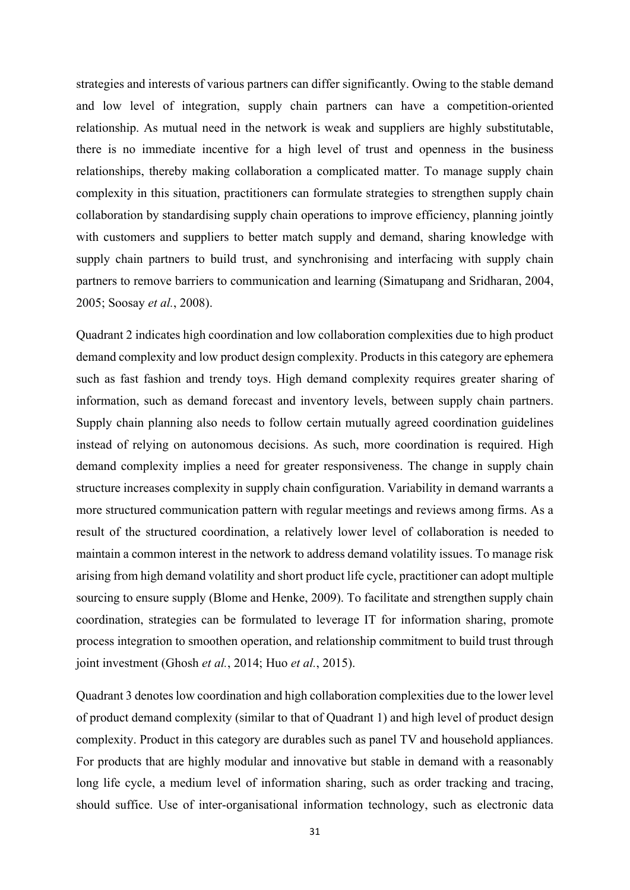strategies and interests of various partners can differ significantly. Owing to the stable demand and low level of integration, supply chain partners can have a competition-oriented relationship. As mutual need in the network is weak and suppliers are highly substitutable, there is no immediate incentive for a high level of trust and openness in the business relationships, thereby making collaboration a complicated matter. To manage supply chain complexity in this situation, practitioners can formulate strategies to strengthen supply chain collaboration by standardising supply chain operations to improve efficiency, planning jointly with customers and suppliers to better match supply and demand, sharing knowledge with supply chain partners to build trust, and synchronising and interfacing with supply chain partners to remove barriers to communication and learning (Simatupang and Sridharan, 2004, 2005; Soosay *et al.*, 2008).

Quadrant 2 indicates high coordination and low collaboration complexities due to high product demand complexity and low product design complexity. Products in this category are ephemera such as fast fashion and trendy toys. High demand complexity requires greater sharing of information, such as demand forecast and inventory levels, between supply chain partners. Supply chain planning also needs to follow certain mutually agreed coordination guidelines instead of relying on autonomous decisions. As such, more coordination is required. High demand complexity implies a need for greater responsiveness. The change in supply chain structure increases complexity in supply chain configuration. Variability in demand warrants a more structured communication pattern with regular meetings and reviews among firms. As a result of the structured coordination, a relatively lower level of collaboration is needed to maintain a common interest in the network to address demand volatility issues. To manage risk arising from high demand volatility and short product life cycle, practitioner can adopt multiple sourcing to ensure supply (Blome and Henke, 2009). To facilitate and strengthen supply chain coordination, strategies can be formulated to leverage IT for information sharing, promote process integration to smoothen operation, and relationship commitment to build trust through joint investment (Ghosh *et al.*, 2014; Huo *et al.*, 2015).

Quadrant 3 denotes low coordination and high collaboration complexities due to the lower level of product demand complexity (similar to that of Quadrant 1) and high level of product design complexity. Product in this category are durables such as panel TV and household appliances. For products that are highly modular and innovative but stable in demand with a reasonably long life cycle, a medium level of information sharing, such as order tracking and tracing, should suffice. Use of inter-organisational information technology, such as electronic data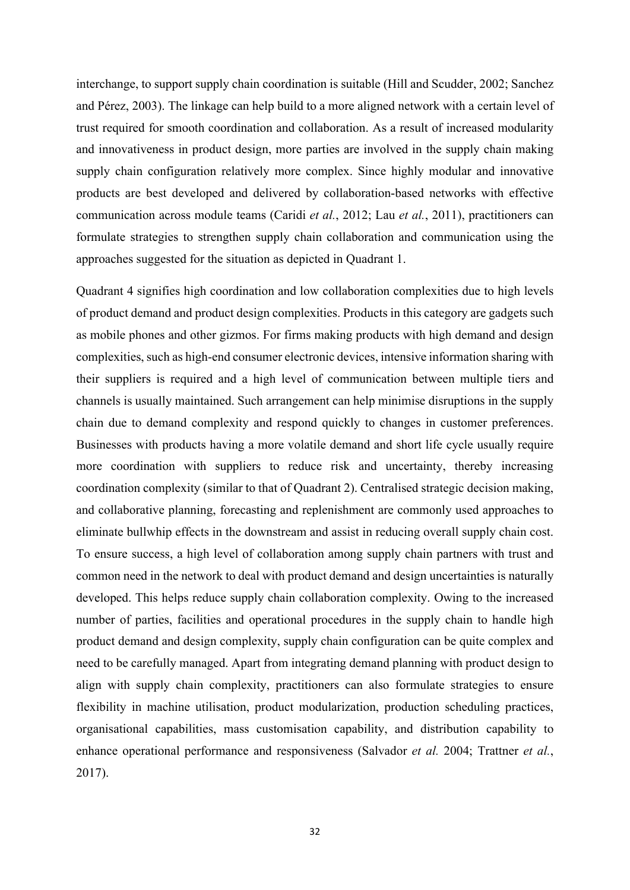interchange, to support supply chain coordination is suitable (Hill and Scudder, 2002; Sanchez and Pérez, 2003). The linkage can help build to a more aligned network with a certain level of trust required for smooth coordination and collaboration. As a result of increased modularity and innovativeness in product design, more parties are involved in the supply chain making supply chain configuration relatively more complex. Since highly modular and innovative products are best developed and delivered by collaboration-based networks with effective communication across module teams (Caridi *et al.*, 2012; Lau *et al.*, 2011), practitioners can formulate strategies to strengthen supply chain collaboration and communication using the approaches suggested for the situation as depicted in Quadrant 1.

Quadrant 4 signifies high coordination and low collaboration complexities due to high levels of product demand and product design complexities. Products in this category are gadgets such as mobile phones and other gizmos. For firms making products with high demand and design complexities, such as high-end consumer electronic devices, intensive information sharing with their suppliers is required and a high level of communication between multiple tiers and channels is usually maintained. Such arrangement can help minimise disruptions in the supply chain due to demand complexity and respond quickly to changes in customer preferences. Businesses with products having a more volatile demand and short life cycle usually require more coordination with suppliers to reduce risk and uncertainty, thereby increasing coordination complexity (similar to that of Quadrant 2). Centralised strategic decision making, and collaborative planning, forecasting and replenishment are commonly used approaches to eliminate bullwhip effects in the downstream and assist in reducing overall supply chain cost. To ensure success, a high level of collaboration among supply chain partners with trust and common need in the network to deal with product demand and design uncertainties is naturally developed. This helps reduce supply chain collaboration complexity. Owing to the increased number of parties, facilities and operational procedures in the supply chain to handle high product demand and design complexity, supply chain configuration can be quite complex and need to be carefully managed. Apart from integrating demand planning with product design to align with supply chain complexity, practitioners can also formulate strategies to ensure flexibility in machine utilisation, product modularization, production scheduling practices, organisational capabilities, mass customisation capability, and distribution capability to enhance operational performance and responsiveness (Salvador *et al.* 2004; Trattner *et al.*, 2017).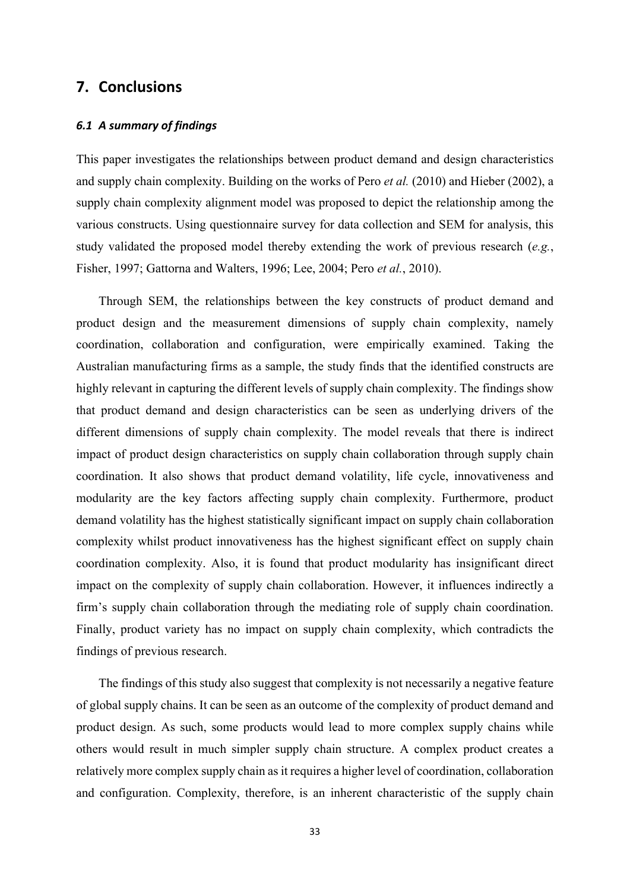# **7. Conclusions**

#### *6.1 A summary of findings*

This paper investigates the relationships between product demand and design characteristics and supply chain complexity. Building on the works of Pero *et al.* (2010) and Hieber (2002), a supply chain complexity alignment model was proposed to depict the relationship among the various constructs. Using questionnaire survey for data collection and SEM for analysis, this study validated the proposed model thereby extending the work of previous research (*e.g.*, Fisher, 1997; Gattorna and Walters, 1996; Lee, 2004; Pero *et al.*, 2010).

Through SEM, the relationships between the key constructs of product demand and product design and the measurement dimensions of supply chain complexity, namely coordination, collaboration and configuration, were empirically examined. Taking the Australian manufacturing firms as a sample, the study finds that the identified constructs are highly relevant in capturing the different levels of supply chain complexity. The findings show that product demand and design characteristics can be seen as underlying drivers of the different dimensions of supply chain complexity. The model reveals that there is indirect impact of product design characteristics on supply chain collaboration through supply chain coordination. It also shows that product demand volatility, life cycle, innovativeness and modularity are the key factors affecting supply chain complexity. Furthermore, product demand volatility has the highest statistically significant impact on supply chain collaboration complexity whilst product innovativeness has the highest significant effect on supply chain coordination complexity. Also, it is found that product modularity has insignificant direct impact on the complexity of supply chain collaboration. However, it influences indirectly a firm's supply chain collaboration through the mediating role of supply chain coordination. Finally, product variety has no impact on supply chain complexity, which contradicts the findings of previous research.

The findings of this study also suggest that complexity is not necessarily a negative feature of global supply chains. It can be seen as an outcome of the complexity of product demand and product design. As such, some products would lead to more complex supply chains while others would result in much simpler supply chain structure. A complex product creates a relatively more complex supply chain as it requires a higher level of coordination, collaboration and configuration. Complexity, therefore, is an inherent characteristic of the supply chain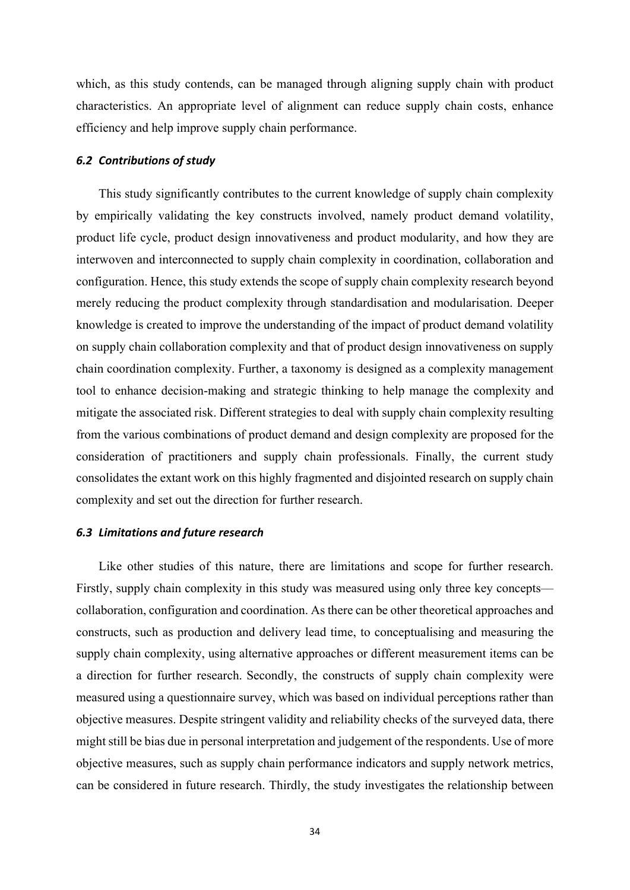which, as this study contends, can be managed through aligning supply chain with product characteristics. An appropriate level of alignment can reduce supply chain costs, enhance efficiency and help improve supply chain performance.

#### *6.2 Contributions of study*

This study significantly contributes to the current knowledge of supply chain complexity by empirically validating the key constructs involved, namely product demand volatility, product life cycle, product design innovativeness and product modularity, and how they are interwoven and interconnected to supply chain complexity in coordination, collaboration and configuration. Hence, this study extends the scope of supply chain complexity research beyond merely reducing the product complexity through standardisation and modularisation. Deeper knowledge is created to improve the understanding of the impact of product demand volatility on supply chain collaboration complexity and that of product design innovativeness on supply chain coordination complexity. Further, a taxonomy is designed as a complexity management tool to enhance decision-making and strategic thinking to help manage the complexity and mitigate the associated risk. Different strategies to deal with supply chain complexity resulting from the various combinations of product demand and design complexity are proposed for the consideration of practitioners and supply chain professionals. Finally, the current study consolidates the extant work on this highly fragmented and disjointed research on supply chain complexity and set out the direction for further research.

#### *6.3 Limitations and future research*

Like other studies of this nature, there are limitations and scope for further research. Firstly, supply chain complexity in this study was measured using only three key concepts collaboration, configuration and coordination. As there can be other theoretical approaches and constructs, such as production and delivery lead time, to conceptualising and measuring the supply chain complexity, using alternative approaches or different measurement items can be a direction for further research. Secondly, the constructs of supply chain complexity were measured using a questionnaire survey, which was based on individual perceptions rather than objective measures. Despite stringent validity and reliability checks of the surveyed data, there might still be bias due in personal interpretation and judgement of the respondents. Use of more objective measures, such as supply chain performance indicators and supply network metrics, can be considered in future research. Thirdly, the study investigates the relationship between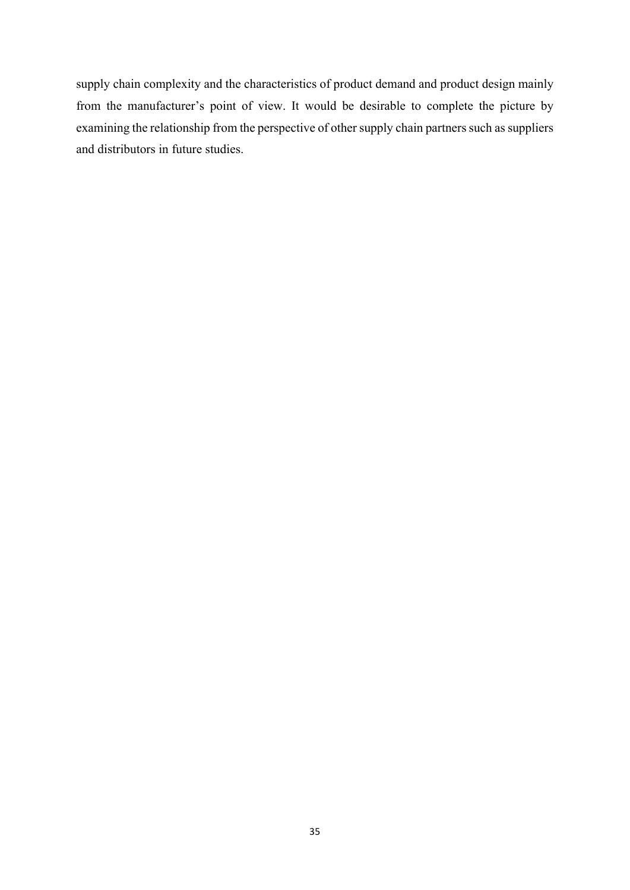supply chain complexity and the characteristics of product demand and product design mainly from the manufacturer's point of view. It would be desirable to complete the picture by examining the relationship from the perspective of other supply chain partners such as suppliers and distributors in future studies.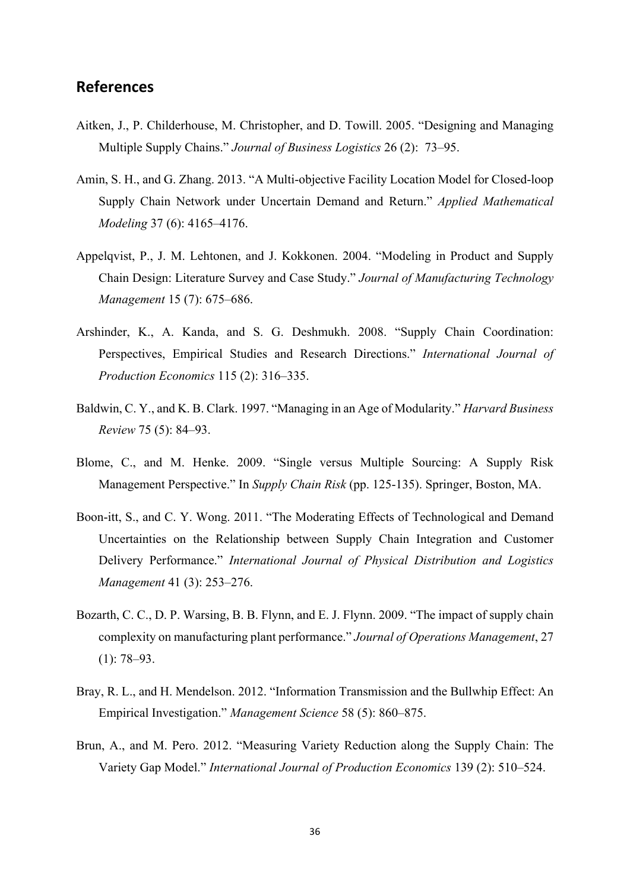# **References**

- Aitken, J., P. Childerhouse, M. Christopher, and D. Towill. 2005. "Designing and Managing Multiple Supply Chains." *Journal of Business Logistics* 26 (2): 73–95.
- Amin, S. H., and G. Zhang. 2013. "A Multi-objective Facility Location Model for Closed-loop Supply Chain Network under Uncertain Demand and Return." *Applied Mathematical Modeling* 37 (6): 4165–4176.
- Appelqvist, P., J. M. Lehtonen, and J. Kokkonen. 2004. "Modeling in Product and Supply Chain Design: Literature Survey and Case Study." *Journal of Manufacturing Technology Management* 15 (7): 675–686.
- Arshinder, K., A. Kanda, and S. G. Deshmukh. 2008. "Supply Chain Coordination: Perspectives, Empirical Studies and Research Directions." *International Journal of Production Economics* 115 (2): 316–335.
- Baldwin, C. Y., and K. B. Clark. 1997. "Managing in an Age of Modularity." *Harvard Business Review* 75 (5): 84–93.
- Blome, C., and M. Henke. 2009. "Single versus Multiple Sourcing: A Supply Risk Management Perspective." In *Supply Chain Risk* (pp. 125-135). Springer, Boston, MA.
- Boon-itt, S., and C. Y. Wong. 2011. "The Moderating Effects of Technological and Demand Uncertainties on the Relationship between Supply Chain Integration and Customer Delivery Performance." *International Journal of Physical Distribution and Logistics Management* 41 (3): 253–276.
- Bozarth, C. C., D. P. Warsing, B. B. Flynn, and E. J. Flynn. 2009. "The impact of supply chain complexity on manufacturing plant performance." *Journal of Operations Management*, 27 (1): 78–93.
- Bray, R. L., and H. Mendelson. 2012. "Information Transmission and the Bullwhip Effect: An Empirical Investigation." *Management Science* 58 (5): 860–875.
- Brun, A., and M. Pero. 2012. "Measuring Variety Reduction along the Supply Chain: The Variety Gap Model." *International Journal of Production Economics* 139 (2): 510–524.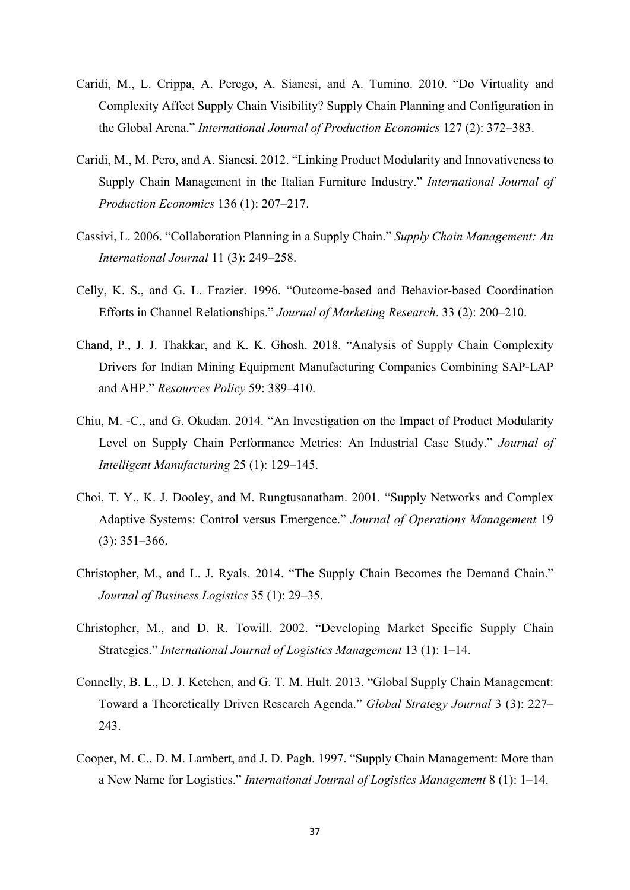- Caridi, M., L. Crippa, A. Perego, A. Sianesi, and A. Tumino. 2010. "Do Virtuality and Complexity Affect Supply Chain Visibility? Supply Chain Planning and Configuration in the Global Arena." *International Journal of Production Economics* 127 (2): 372–383.
- Caridi, M., M. Pero, and A. Sianesi. 2012. "Linking Product Modularity and Innovativeness to Supply Chain Management in the Italian Furniture Industry." *International Journal of Production Economics* 136 (1): 207–217.
- Cassivi, L. 2006. "Collaboration Planning in a Supply Chain." *Supply Chain Management: An International Journal* 11 (3): 249–258.
- Celly, K. S., and G. L. Frazier. 1996. "Outcome-based and Behavior-based Coordination Efforts in Channel Relationships." *Journal of Marketing Research*. 33 (2): 200–210.
- Chand, P., J. J. Thakkar, and K. K. Ghosh. 2018. "Analysis of Supply Chain Complexity Drivers for Indian Mining Equipment Manufacturing Companies Combining SAP-LAP and AHP." *Resources Policy* 59: 389–410.
- Chiu, M. -C., and G. Okudan. 2014. "An Investigation on the Impact of Product Modularity Level on Supply Chain Performance Metrics: An Industrial Case Study." *Journal of Intelligent Manufacturing* 25 (1): 129–145.
- Choi, T. Y., K. J. Dooley, and M. Rungtusanatham. 2001. "Supply Networks and Complex Adaptive Systems: Control versus Emergence." *Journal of Operations Management* 19 (3): 351–366.
- Christopher, M., and L. J. Ryals. 2014. "The Supply Chain Becomes the Demand Chain." *Journal of Business Logistics* 35 (1): 29–35.
- Christopher, M., and D. R. Towill. 2002. "Developing Market Specific Supply Chain Strategies." *International Journal of Logistics Management* 13 (1): 1–14.
- Connelly, B. L., D. J. Ketchen, and G. T. M. Hult. 2013. "Global Supply Chain Management: Toward a Theoretically Driven Research Agenda." *Global Strategy Journal* 3 (3): 227– 243.
- Cooper, M. C., D. M. Lambert, and J. D. Pagh. 1997. "Supply Chain Management: More than a New Name for Logistics." *International Journal of Logistics Management* 8 (1): 1–14.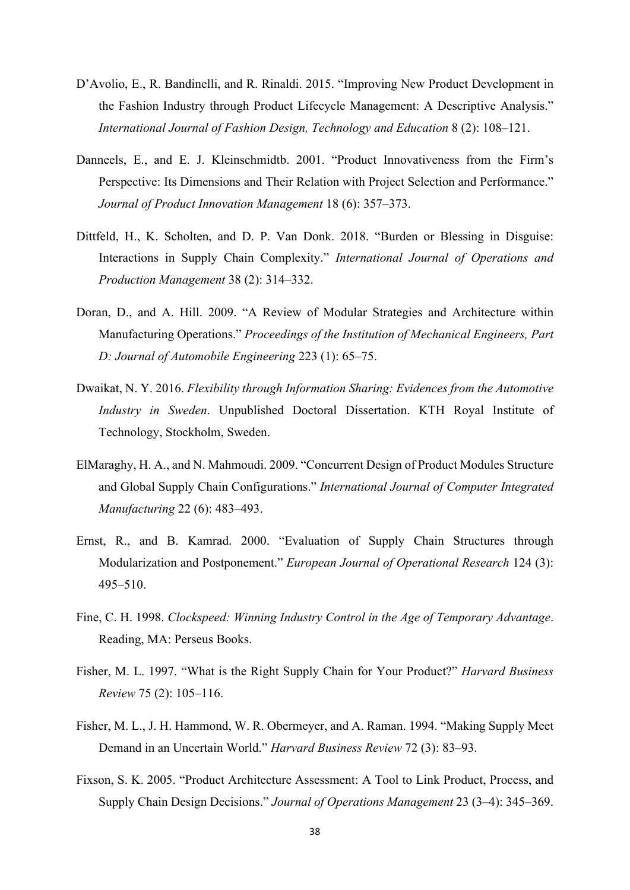- D'Avolio, E., R. Bandinelli, and R. Rinaldi. 2015. "Improving New Product Development in the Fashion Industry through Product Lifecycle Management: A Descriptive Analysis." *International Journal of Fashion Design, Technology and Education* 8 (2): 108–121.
- Danneels, E., and E. J. Kleinschmidtb. 2001. "Product Innovativeness from the Firm's Perspective: Its Dimensions and Their Relation with Project Selection and Performance." *Journal of Product Innovation Management* 18 (6): 357–373.
- Dittfeld, H., K. Scholten, and D. P. Van Donk. 2018. "Burden or Blessing in Disguise: Interactions in Supply Chain Complexity." *International Journal of Operations and Production Management* 38 (2): 314–332.
- Doran, D., and A. Hill. 2009. "A Review of Modular Strategies and Architecture within Manufacturing Operations." *Proceedings of the Institution of Mechanical Engineers, Part D: Journal of Automobile Engineering* 223 (1): 65–75.
- Dwaikat, N. Y. 2016. *Flexibility through Information Sharing: Evidences from the Automotive Industry in Sweden*. Unpublished Doctoral Dissertation. KTH Royal Institute of Technology, Stockholm, Sweden.
- ElMaraghy, H. A., and N. Mahmoudi. 2009. "Concurrent Design of Product Modules Structure and Global Supply Chain Configurations." *International Journal of Computer Integrated Manufacturing* 22 (6): 483–493.
- Ernst, R., and B. Kamrad. 2000. "Evaluation of Supply Chain Structures through Modularization and Postponement." *European Journal of Operational Research* 124 (3): 495–510.
- Fine, C. H. 1998. *Clockspeed: Winning Industry Control in the Age of Temporary Advantage*. Reading, MA: Perseus Books.
- Fisher, M. L. 1997. "What is the Right Supply Chain for Your Product?" *Harvard Business Review* 75 (2): 105–116.
- Fisher, M. L., J. H. Hammond, W. R. Obermeyer, and A. Raman. 1994. "Making Supply Meet Demand in an Uncertain World." *Harvard Business Review* 72 (3): 83–93.
- Fixson, S. K. 2005. "Product Architecture Assessment: A Tool to Link Product, Process, and Supply Chain Design Decisions." *Journal of Operations Management* 23 (3–4): 345–369.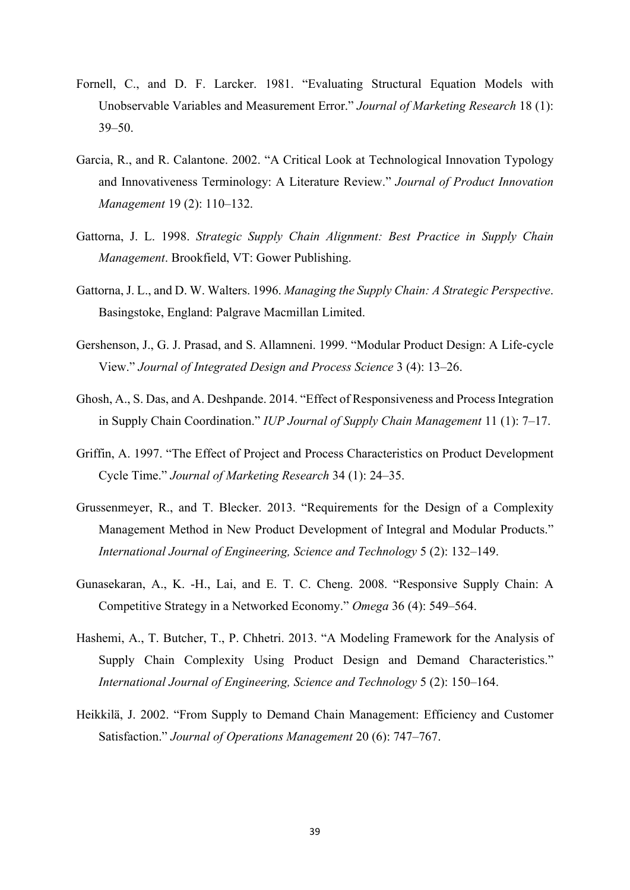- Fornell, C., and D. F. Larcker. 1981. "Evaluating Structural Equation Models with Unobservable Variables and Measurement Error." *Journal of Marketing Research* 18 (1): 39–50.
- Garcia, R., and R. Calantone. 2002. "A Critical Look at Technological Innovation Typology and Innovativeness Terminology: A Literature Review." *Journal of Product Innovation Management* 19 (2): 110–132.
- Gattorna, J. L. 1998. *Strategic Supply Chain Alignment: Best Practice in Supply Chain Management*. Brookfield, VT: Gower Publishing.
- Gattorna, J. L., and D. W. Walters. 1996. *Managing the Supply Chain: A Strategic Perspective*. Basingstoke, England: Palgrave Macmillan Limited.
- Gershenson, J., G. J. Prasad, and S. Allamneni. 1999. "Modular Product Design: A Life-cycle View." *Journal of Integrated Design and Process Science* 3 (4): 13–26.
- Ghosh, A., S. Das, and A. Deshpande. 2014. "Effect of Responsiveness and Process Integration in Supply Chain Coordination." *IUP Journal of Supply Chain Management* 11 (1): 7–17.
- Griffin, A. 1997. "The Effect of Project and Process Characteristics on Product Development Cycle Time." *Journal of Marketing Research* 34 (1): 24–35.
- Grussenmeyer, R., and T. Blecker. 2013. "Requirements for the Design of a Complexity Management Method in New Product Development of Integral and Modular Products." *International Journal of Engineering, Science and Technology* 5 (2): 132–149.
- Gunasekaran, A., K. -H., Lai, and E. T. C. Cheng. 2008. "Responsive Supply Chain: A Competitive Strategy in a Networked Economy." *Omega* 36 (4): 549–564.
- Hashemi, A., T. Butcher, T., P. Chhetri. 2013. "A Modeling Framework for the Analysis of Supply Chain Complexity Using Product Design and Demand Characteristics." *International Journal of Engineering, Science and Technology* 5 (2): 150–164.
- Heikkilä, J. 2002. "From Supply to Demand Chain Management: Efficiency and Customer Satisfaction." *Journal of Operations Management* 20 (6): 747–767.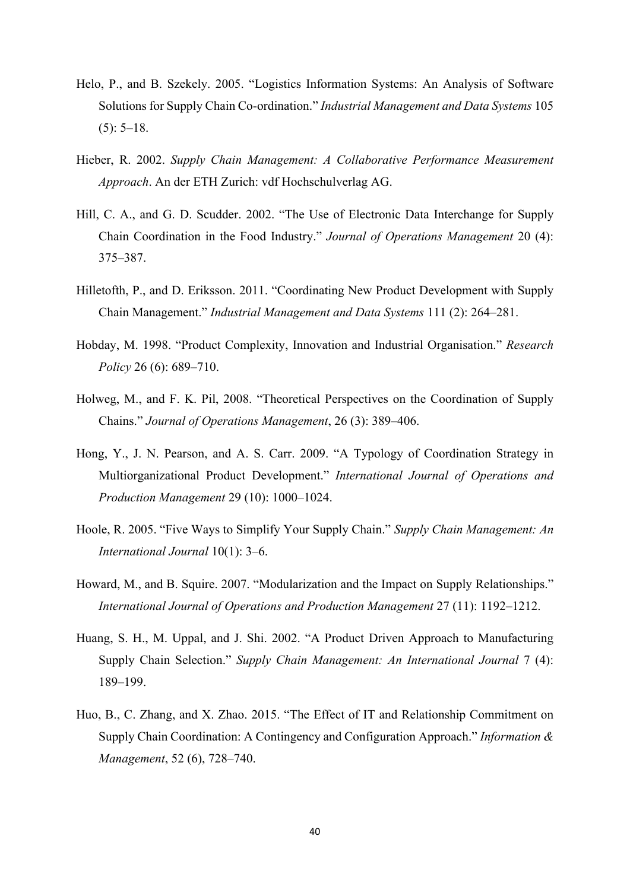- Helo, P., and B. Szekely. 2005. "Logistics Information Systems: An Analysis of Software Solutions for Supply Chain Co-ordination." *Industrial Management and Data Systems* 105  $(5): 5-18.$
- Hieber, R. 2002. *Supply Chain Management: A Collaborative Performance Measurement Approach*. An der ETH Zurich: vdf Hochschulverlag AG.
- Hill, C. A., and G. D. Scudder. 2002. "The Use of Electronic Data Interchange for Supply Chain Coordination in the Food Industry." *Journal of Operations Management* 20 (4): 375–387.
- Hilletofth, P., and D. Eriksson. 2011. "Coordinating New Product Development with Supply Chain Management." *Industrial Management and Data Systems* 111 (2): 264–281.
- Hobday, M. 1998. "Product Complexity, Innovation and Industrial Organisation." *Research Policy* 26 (6): 689–710.
- Holweg, M., and F. K. Pil, 2008. "Theoretical Perspectives on the Coordination of Supply Chains." *Journal of Operations Management*, 26 (3): 389–406.
- Hong, Y., J. N. Pearson, and A. S. Carr. 2009. "A Typology of Coordination Strategy in Multiorganizational Product Development." *International Journal of Operations and Production Management* 29 (10): 1000–1024.
- Hoole, R. 2005. "Five Ways to Simplify Your Supply Chain." *Supply Chain Management: An International Journal* 10(1): 3–6.
- Howard, M., and B. Squire. 2007. "Modularization and the Impact on Supply Relationships." *International Journal of Operations and Production Management* 27 (11): 1192–1212.
- Huang, S. H., M. Uppal, and J. Shi. 2002. "A Product Driven Approach to Manufacturing Supply Chain Selection." *Supply Chain Management: An International Journal* 7 (4): 189–199.
- Huo, B., C. Zhang, and X. Zhao. 2015. "The Effect of IT and Relationship Commitment on Supply Chain Coordination: A Contingency and Configuration Approach." *Information & Management*, 52 (6), 728–740.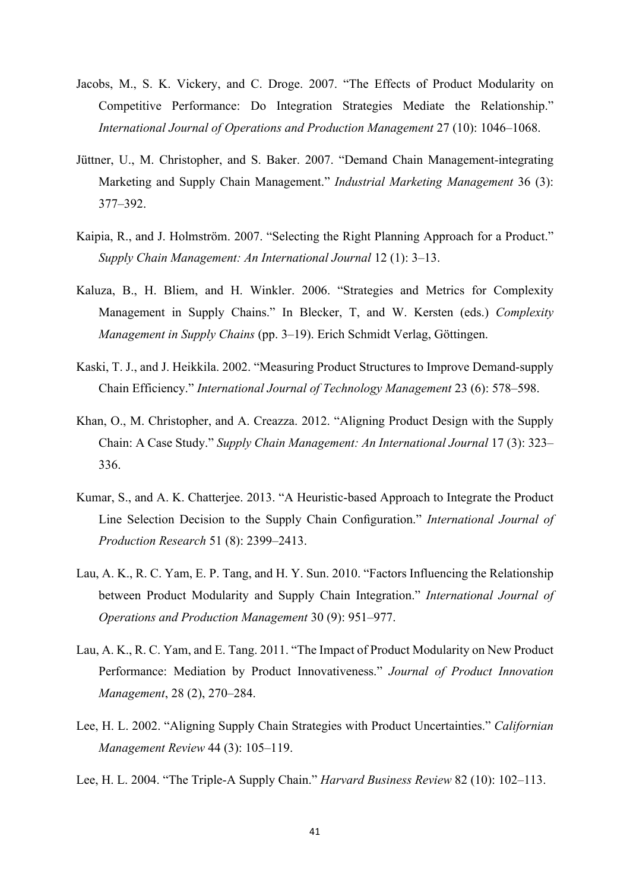- Jacobs, M., S. K. Vickery, and C. Droge. 2007. "The Effects of Product Modularity on Competitive Performance: Do Integration Strategies Mediate the Relationship." *International Journal of Operations and Production Management* 27 (10): 1046–1068.
- Jüttner, U., M. Christopher, and S. Baker. 2007. "Demand Chain Management-integrating Marketing and Supply Chain Management." *Industrial Marketing Management* 36 (3): 377–392.
- Kaipia, R., and J. Holmström. 2007. "Selecting the Right Planning Approach for a Product." *Supply Chain Management: An International Journal* 12 (1): 3–13.
- Kaluza, B., H. Bliem, and H. Winkler. 2006. "Strategies and Metrics for Complexity Management in Supply Chains." In Blecker, T, and W. Kersten (eds.) *Complexity Management in Supply Chains* (pp. 3–19). Erich Schmidt Verlag, Göttingen.
- Kaski, T. J., and J. Heikkila. 2002. "Measuring Product Structures to Improve Demand-supply Chain Efficiency." *International Journal of Technology Management* 23 (6): 578–598.
- Khan, O., M. Christopher, and A. Creazza. 2012. "Aligning Product Design with the Supply Chain: A Case Study." *Supply Chain Management: An International Journal* 17 (3): 323– 336.
- Kumar, S., and A. K. Chatterjee. 2013. "A Heuristic-based Approach to Integrate the Product Line Selection Decision to the Supply Chain Configuration." *International Journal of Production Research* 51 (8): 2399–2413.
- Lau, A. K., R. C. Yam, E. P. Tang, and H. Y. Sun. 2010. "Factors Influencing the Relationship between Product Modularity and Supply Chain Integration." *International Journal of Operations and Production Management* 30 (9): 951–977.
- Lau, A. K., R. C. Yam, and E. Tang. 2011. "The Impact of Product Modularity on New Product Performance: Mediation by Product Innovativeness." *Journal of Product Innovation Management*, 28 (2), 270–284.
- Lee, H. L. 2002. "Aligning Supply Chain Strategies with Product Uncertainties." *Californian Management Review* 44 (3): 105–119.
- Lee, H. L. 2004. "The Triple-A Supply Chain." *Harvard Business Review* 82 (10): 102–113.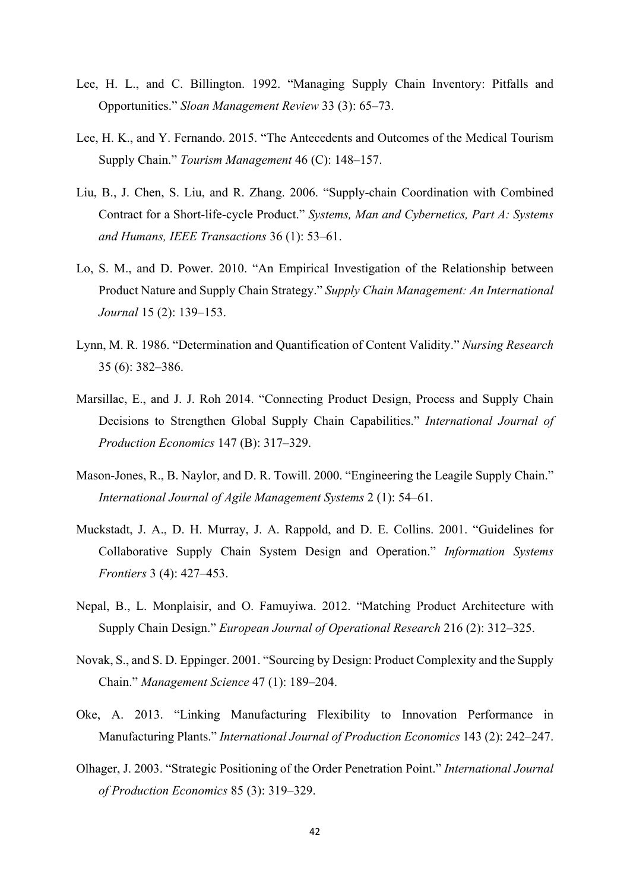- Lee, H. L., and C. Billington. 1992. "Managing Supply Chain Inventory: Pitfalls and Opportunities." *Sloan Management Review* 33 (3): 65–73.
- Lee, H. K., and Y. Fernando. 2015. "The Antecedents and Outcomes of the Medical Tourism Supply Chain." *Tourism Management* 46 (C): 148–157.
- Liu, B., J. Chen, S. Liu, and R. Zhang. 2006. "Supply-chain Coordination with Combined Contract for a Short-life-cycle Product." *Systems, Man and Cybernetics, Part A: Systems and Humans, IEEE Transactions* 36 (1): 53–61.
- Lo, S. M., and D. Power. 2010. "An Empirical Investigation of the Relationship between Product Nature and Supply Chain Strategy." *Supply Chain Management: An International Journal* 15 (2): 139–153.
- Lynn, M. R. 1986. "Determination and Quantification of Content Validity." *Nursing Research* 35 (6): 382–386.
- Marsillac, E., and J. J. Roh 2014. "Connecting Product Design, Process and Supply Chain Decisions to Strengthen Global Supply Chain Capabilities." *International Journal of Production Economics* 147 (B): 317–329.
- Mason-Jones, R., B. Naylor, and D. R. Towill. 2000. "Engineering the Leagile Supply Chain." *International Journal of Agile Management Systems* 2 (1): 54–61.
- Muckstadt, J. A., D. H. Murray, J. A. Rappold, and D. E. Collins. 2001. "Guidelines for Collaborative Supply Chain System Design and Operation." *Information Systems Frontiers* 3 (4): 427–453.
- Nepal, B., L. Monplaisir, and O. Famuyiwa. 2012. "Matching Product Architecture with Supply Chain Design." *European Journal of Operational Research* 216 (2): 312–325.
- Novak, S., and S. D. Eppinger. 2001. "Sourcing by Design: Product Complexity and the Supply Chain." *Management Science* 47 (1): 189–204.
- Oke, A. 2013. "Linking Manufacturing Flexibility to Innovation Performance in Manufacturing Plants." *International Journal of Production Economics* 143 (2): 242–247.
- Olhager, J. 2003. "Strategic Positioning of the Order Penetration Point." *International Journal of Production Economics* 85 (3): 319–329.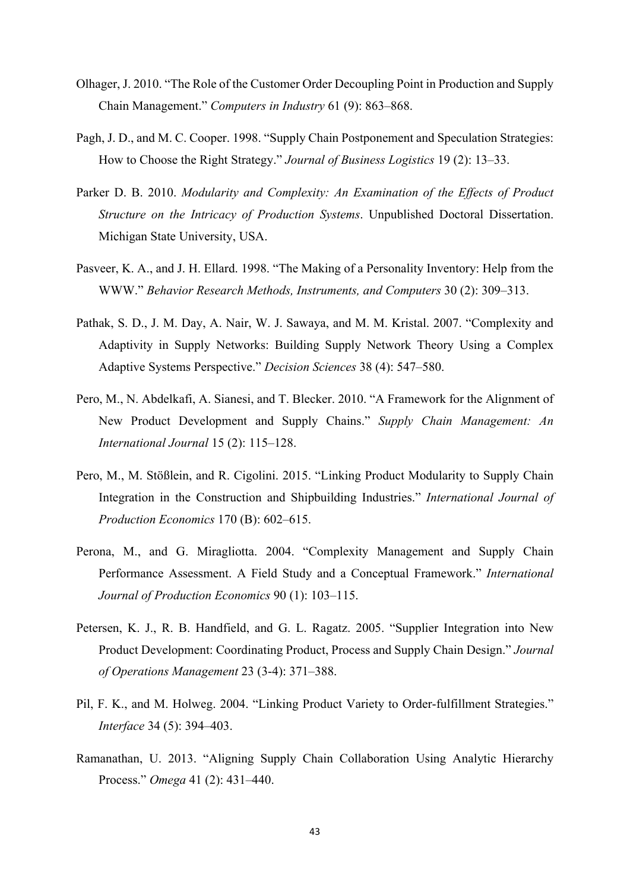- Olhager, J. 2010. "The Role of the Customer Order Decoupling Point in Production and Supply Chain Management." *Computers in Industry* 61 (9): 863–868.
- Pagh, J. D., and M. C. Cooper. 1998. "Supply Chain Postponement and Speculation Strategies: How to Choose the Right Strategy." *Journal of Business Logistics* 19 (2): 13–33.
- Parker D. B. 2010. *Modularity and Complexity: An Examination of the Effects of Product Structure on the Intricacy of Production Systems*. Unpublished Doctoral Dissertation. Michigan State University, USA.
- Pasveer, K. A., and J. H. Ellard. 1998. "The Making of a Personality Inventory: Help from the WWW." *Behavior Research Methods, Instruments, and Computers* 30 (2): 309–313.
- Pathak, S. D., J. M. Day, A. Nair, W. J. Sawaya, and M. M. Kristal. 2007. "Complexity and Adaptivity in Supply Networks: Building Supply Network Theory Using a Complex Adaptive Systems Perspective." *Decision Sciences* 38 (4): 547–580.
- Pero, M., N. Abdelkafi, A. Sianesi, and T. Blecker. 2010. "A Framework for the Alignment of New Product Development and Supply Chains." *Supply Chain Management: An International Journal* 15 (2): 115–128.
- Pero, M., M. Stößlein, and R. Cigolini. 2015. "Linking Product Modularity to Supply Chain Integration in the Construction and Shipbuilding Industries." *International Journal of Production Economics* 170 (B): 602–615.
- Perona, M., and G. Miragliotta. 2004. "Complexity Management and Supply Chain Performance Assessment. A Field Study and a Conceptual Framework." *International Journal of Production Economics* 90 (1): 103–115.
- Petersen, K. J., R. B. Handfield, and G. L. Ragatz. 2005. "Supplier Integration into New Product Development: Coordinating Product, Process and Supply Chain Design." *Journal of Operations Management* 23 (3-4): 371–388.
- Pil, F. K., and M. Holweg. 2004. "Linking Product Variety to Order-fulfillment Strategies." *Interface* 34 (5): 394–403.
- Ramanathan, U. 2013. "Aligning Supply Chain Collaboration Using Analytic Hierarchy Process." *Omega* 41 (2): 431–440.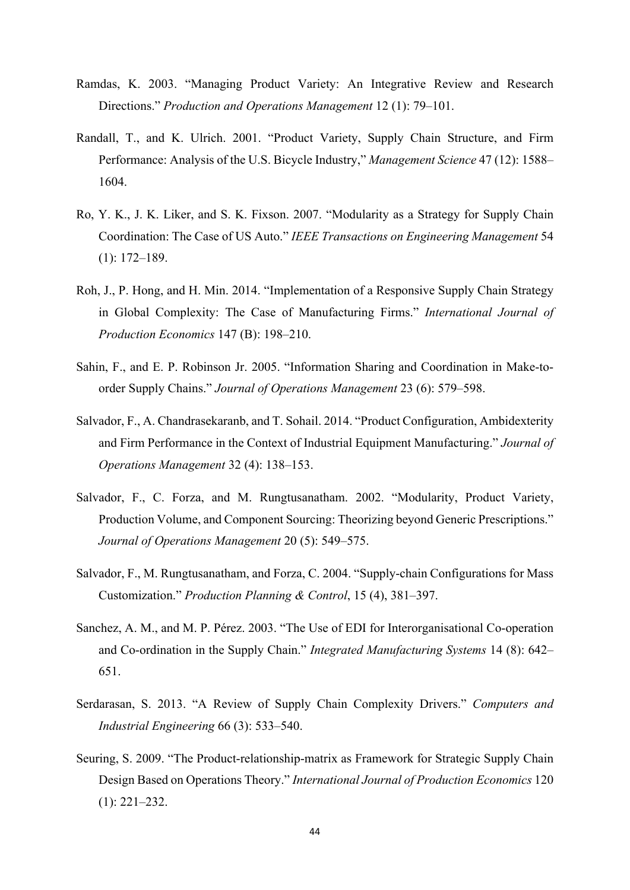- Ramdas, K. 2003. "Managing Product Variety: An Integrative Review and Research Directions." *Production and Operations Management* 12 (1): 79–101.
- Randall, T., and K. Ulrich. 2001. "Product Variety, Supply Chain Structure, and Firm Performance: Analysis of the U.S. Bicycle Industry," *Management Science* 47 (12): 1588– 1604.
- Ro, Y. K., J. K. Liker, and S. K. Fixson. 2007. "Modularity as a Strategy for Supply Chain Coordination: The Case of US Auto." *IEEE Transactions on Engineering Management* 54 (1): 172–189.
- Roh, J., P. Hong, and H. Min. 2014. "Implementation of a Responsive Supply Chain Strategy in Global Complexity: The Case of Manufacturing Firms." *International Journal of Production Economics* 147 (B): 198–210.
- Sahin, F., and E. P. Robinson Jr. 2005. "Information Sharing and Coordination in Make-toorder Supply Chains." *Journal of Operations Management* 23 (6): 579–598.
- Salvador, F., A. Chandrasekaranb, and T. Sohail. 2014. "Product Configuration, Ambidexterity and Firm Performance in the Context of Industrial Equipment Manufacturing." *Journal of Operations Management* 32 (4): 138–153.
- Salvador, F., C. Forza, and M. Rungtusanatham. 2002. "Modularity, Product Variety, Production Volume, and Component Sourcing: Theorizing beyond Generic Prescriptions." *Journal of Operations Management* 20 (5): 549–575.
- Salvador, F., M. Rungtusanatham, and Forza, C. 2004. "Supply-chain Configurations for Mass Customization." *Production Planning & Control*, 15 (4), 381–397.
- Sanchez, A. M., and M. P. Pérez. 2003. "The Use of EDI for Interorganisational Co-operation and Co‐ordination in the Supply Chain." *Integrated Manufacturing Systems* 14 (8): 642– 651.
- Serdarasan, S. 2013. "A Review of Supply Chain Complexity Drivers." *Computers and Industrial Engineering* 66 (3): 533–540.
- Seuring, S. 2009. "The Product-relationship-matrix as Framework for Strategic Supply Chain Design Based on Operations Theory." *International Journal of Production Economics* 120 (1): 221–232.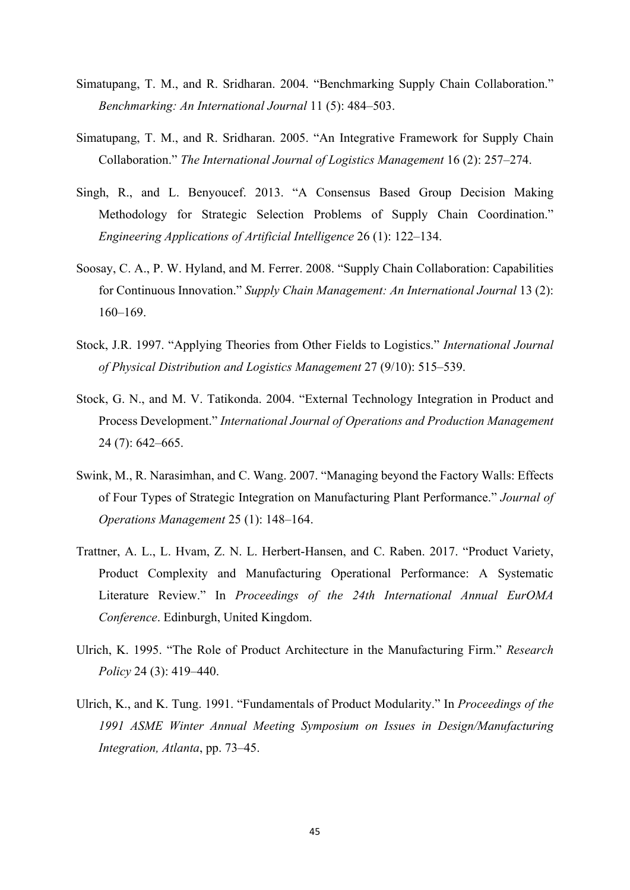- Simatupang, T. M., and R. Sridharan. 2004. "Benchmarking Supply Chain Collaboration." *Benchmarking: An International Journal* 11 (5): 484–503.
- Simatupang, T. M., and R. Sridharan. 2005. "An Integrative Framework for Supply Chain Collaboration." *The International Journal of Logistics Management* 16 (2): 257–274.
- Singh, R., and L. Benyoucef. 2013. "A Consensus Based Group Decision Making Methodology for Strategic Selection Problems of Supply Chain Coordination." *Engineering Applications of Artificial Intelligence* 26 (1): 122–134.
- Soosay, C. A., P. W. Hyland, and M. Ferrer. 2008. "Supply Chain Collaboration: Capabilities for Continuous Innovation." *Supply Chain Management: An International Journal* 13 (2): 160–169.
- Stock, J.R. 1997. "Applying Theories from Other Fields to Logistics." *International Journal of Physical Distribution and Logistics Management* 27 (9/10): 515–539.
- Stock, G. N., and M. V. Tatikonda. 2004. "External Technology Integration in Product and Process Development." *International Journal of Operations and Production Management* 24 (7): 642–665.
- Swink, M., R. Narasimhan, and C. Wang. 2007. "Managing beyond the Factory Walls: Effects of Four Types of Strategic Integration on Manufacturing Plant Performance." *Journal of Operations Management* 25 (1): 148–164.
- Trattner, A. L., L. Hvam, Z. N. L. Herbert-Hansen, and C. Raben. 2017. "Product Variety, Product Complexity and Manufacturing Operational Performance: A Systematic Literature Review." In *Proceedings of the 24th International Annual EurOMA Conference*. Edinburgh, United Kingdom.
- Ulrich, K. 1995. "The Role of Product Architecture in the Manufacturing Firm." *Research Policy* 24 (3): 419–440.
- Ulrich, K., and K. Tung. 1991. "Fundamentals of Product Modularity." In *Proceedings of the 1991 ASME Winter Annual Meeting Symposium on Issues in Design/Manufacturing Integration, Atlanta*, pp. 73–45.